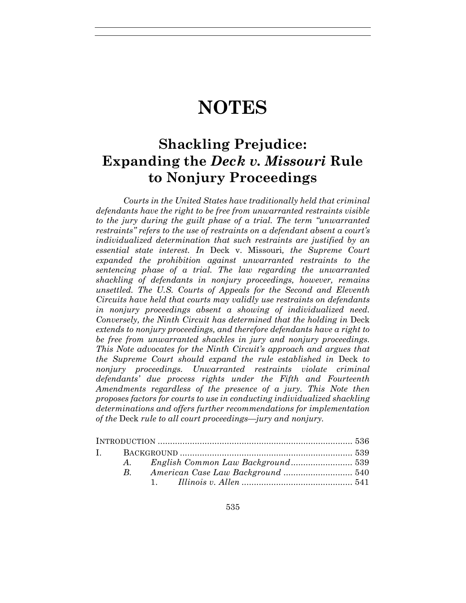# **NOTES**

## **Shackling Prejudice: Expanding the** *Deck v. Missouri* **Rule to Nonjury Proceedings**

*Courts in the United States have traditionally held that criminal defendants have the right to be free from unwarranted restraints visible to the jury during the guilt phase of a trial. The term "unwarranted restraints" refers to the use of restraints on a defendant absent a court's individualized determination that such restraints are justified by an essential state interest. In* Deck v. Missouri*, the Supreme Court expanded the prohibition against unwarranted restraints to the sentencing phase of a trial. The law regarding the unwarranted shackling of defendants in nonjury proceedings, however, remains unsettled. The U.S. Courts of Appeals for the Second and Eleventh Circuits have held that courts may validly use restraints on defendants in nonjury proceedings absent a showing of individualized need. Conversely, the Ninth Circuit has determined that the holding in Deck extends to nonjury proceedings, and therefore defendants have a right to be free from unwarranted shackles in jury and nonjury proceedings. This Note advocates for the Ninth Circuit's approach and argues that the Supreme Court should expand the rule established in* Deck *to nonjury proceedings. Unwarranted restraints violate criminal defendants' due process rights under the Fifth and Fourteenth Amendments regardless of the presence of a jury. This Note then proposes factors for courts to use in conducting individualized shackling determinations and offers further recommendations for implementation of the* Deck *rule to all court proceedings—jury and nonjury.*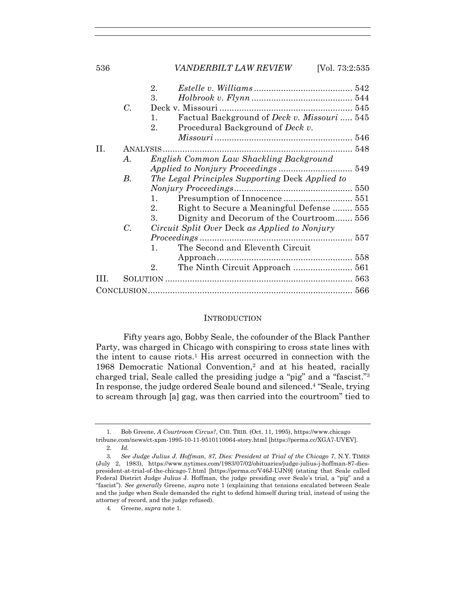|    |       | $2_{-}$                                                |  |
|----|-------|--------------------------------------------------------|--|
|    |       | 3.                                                     |  |
|    | C.    |                                                        |  |
|    |       | Factual Background of Deck v. Missouri  545<br>1.      |  |
|    |       | Procedural Background of <i>Deck v.</i><br>$2_{\cdot}$ |  |
|    |       |                                                        |  |
| П. |       |                                                        |  |
|    | А.    | English Common Law Shackling Background                |  |
|    |       |                                                        |  |
|    | В.    | The Legal Principles Supporting Deck Applied to        |  |
|    |       |                                                        |  |
|    |       | 1.                                                     |  |
|    |       | Right to Secure a Meaningful Defense  555<br>2.        |  |
|    |       | Dignity and Decorum of the Courtroom 556<br>3.         |  |
|    | $C$ . | Circuit Split Over Deck as Applied to Nonjury          |  |
|    |       | <i>Proceedings</i>                                     |  |
|    |       | The Second and Eleventh Circuit<br>1.                  |  |
|    |       |                                                        |  |
|    |       | The Ninth Circuit Approach  561<br>2.                  |  |
|    |       |                                                        |  |
|    |       |                                                        |  |
|    |       |                                                        |  |

#### INTRODUCTION

Fifty years ago, Bobby Seale, the cofounder of the Black Panther Party, was charged in Chicago with conspiring to cross state lines with the intent to cause riots.1 His arrest occurred in connection with the 1968 Democratic National Convention,2 and at his heated, racially charged trial, Seale called the presiding judge a "pig" and a "fascist."3 In response, the judge ordered Seale bound and silenced.4 "Seale, trying to scream through [a] gag, was then carried into the courtroom" tied to

<sup>1</sup>*.* Bob Greene, *A Courtroom Circus?*, CHI. TRIB. (Oct. 11, 1995), https://www.chicago tribune.com/news/ct-xpm-1995-10-11-9510110064-story.html [https://perma.cc/XGA7-UVEV].

<sup>2</sup>*. Id.*

<sup>3</sup>*. See Judge Julius J. Hoffman, 87, Dies: President at Trial of the Chicago 7*, N.Y. TIMES (July 2, 1983), https://www.nytimes.com/1983/07/02/obituaries/judge-julius-j-hoffman-87-diespresident-at-trial-of-the-chicago-7.html [https://perma.cc/V46J-UJN9] (stating that Seale called Federal District Judge Julius J. Hoffman, the judge presiding over Seale's trial, a "pig" and a "fascist"). *See generally* Greene, *supra* note 1 (explaining that tensions escalated between Seale and the judge when Seale demanded the right to defend himself during trial, instead of using the attorney of record, and the judge refused).

<sup>4</sup>*.* Greene, *supra* note 1.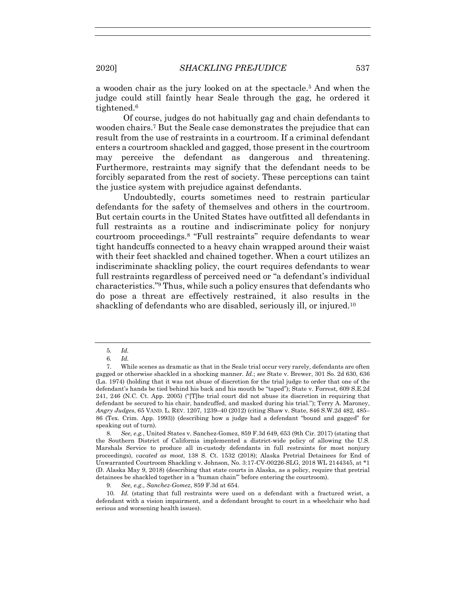a wooden chair as the jury looked on at the spectacle.5 And when the judge could still faintly hear Seale through the gag, he ordered it tightened.6

Of course, judges do not habitually gag and chain defendants to wooden chairs.7 But the Seale case demonstrates the prejudice that can result from the use of restraints in a courtroom. If a criminal defendant enters a courtroom shackled and gagged, those present in the courtroom may perceive the defendant as dangerous and threatening. Furthermore, restraints may signify that the defendant needs to be forcibly separated from the rest of society. These perceptions can taint the justice system with prejudice against defendants.

Undoubtedly, courts sometimes need to restrain particular defendants for the safety of themselves and others in the courtroom. But certain courts in the United States have outfitted all defendants in full restraints as a routine and indiscriminate policy for nonjury courtroom proceedings.8 "Full restraints" require defendants to wear tight handcuffs connected to a heavy chain wrapped around their waist with their feet shackled and chained together. When a court utilizes an indiscriminate shackling policy, the court requires defendants to wear full restraints regardless of perceived need or "a defendant's individual characteristics."9 Thus, while such a policy ensures that defendants who do pose a threat are effectively restrained, it also results in the shackling of defendants who are disabled, seriously ill, or injured.<sup>10</sup>

9*. See, e.g.*, *Sanchez-Gomez*, 859 F.3d at 654.

<sup>5</sup>*. Id.*

<sup>6</sup>*. Id.*

 <sup>7.</sup> While scenes as dramatic as that in the Seale trial occur very rarely, defendants are often gagged or otherwise shackled in a shocking manner. *Id.*; *see* State v. Brewer, 301 So. 2d 630, 636 (La. 1974) (holding that it was not abuse of discretion for the trial judge to order that one of the defendant's hands be tied behind his back and his mouth be "taped"); State v. Forrest, 609 S.E.2d 241, 246 (N.C. Ct. App. 2005) ("[T]he trial court did not abuse its discretion in requiring that defendant be secured to his chair, handcuffed, and masked during his trial."); Terry A. Maroney, *Angry Judges*, 65 VAND. L. REV. 1207, 1239–40 (2012) (citing Shaw v. State, 846 S.W.2d 482, 485– 86 (Tex. Crim. App. 1993)) (describing how a judge had a defendant "bound and gagged" for speaking out of turn).

<sup>8</sup>*. See, e.g.*, United States v. Sanchez-Gomez, 859 F.3d 649, 653 (9th Cir. 2017) (stating that the Southern District of California implemented a district-wide policy of allowing the U.S. Marshals Service to produce all in-custody defendants in full restraints for most nonjury proceedings), *vacated as moot*, 138 S. Ct. 1532 (2018); Alaska Pretrial Detainees for End of Unwarranted Courtroom Shackling v. Johnson, No. 3:17-CV-00226-SLG, 2018 WL 2144345, at \*1 (D. Alaska May 9, 2018) (describing that state courts in Alaska, as a policy, require that pretrial detainees be shackled together in a "human chain'" before entering the courtroom).

<sup>10</sup>*. Id.* (stating that full restraints were used on a defendant with a fractured wrist, a defendant with a vision impairment, and a defendant brought to court in a wheelchair who had serious and worsening health issues).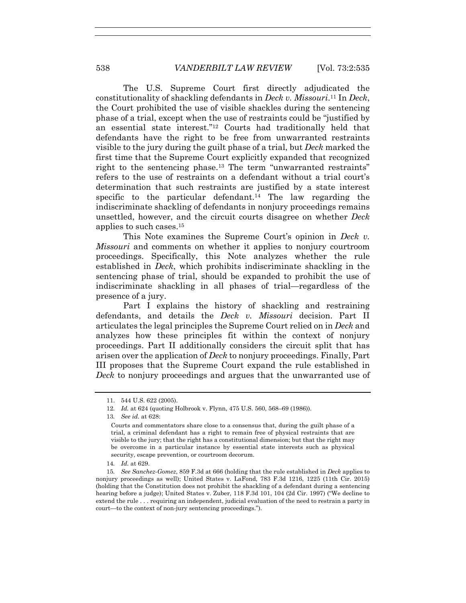The U.S. Supreme Court first directly adjudicated the constitutionality of shackling defendants in *Deck v. Missouri*.11 In *Deck*, the Court prohibited the use of visible shackles during the sentencing phase of a trial, except when the use of restraints could be "justified by an essential state interest."12 Courts had traditionally held that defendants have the right to be free from unwarranted restraints visible to the jury during the guilt phase of a trial, but *Deck* marked the first time that the Supreme Court explicitly expanded that recognized right to the sentencing phase.13 The term "unwarranted restraints" refers to the use of restraints on a defendant without a trial court's determination that such restraints are justified by a state interest specific to the particular defendant.<sup>14</sup> The law regarding the indiscriminate shackling of defendants in nonjury proceedings remains unsettled, however, and the circuit courts disagree on whether *Deck* applies to such cases.15

This Note examines the Supreme Court's opinion in *Deck v. Missouri* and comments on whether it applies to nonjury courtroom proceedings. Specifically, this Note analyzes whether the rule established in *Deck*, which prohibits indiscriminate shackling in the sentencing phase of trial, should be expanded to prohibit the use of indiscriminate shackling in all phases of trial—regardless of the presence of a jury.

Part I explains the history of shackling and restraining defendants, and details the *Deck v. Missouri* decision. Part II articulates the legal principles the Supreme Court relied on in *Deck* and analyzes how these principles fit within the context of nonjury proceedings. Part II additionally considers the circuit split that has arisen over the application of *Deck* to nonjury proceedings. Finally, Part III proposes that the Supreme Court expand the rule established in *Deck* to nonjury proceedings and argues that the unwarranted use of

 <sup>11. 544</sup> U.S. 622 (2005).

<sup>12</sup>*. Id.* at 624 (quoting Holbrook v. Flynn, 475 U.S. 560, 568–69 (1986)).

<sup>13</sup>*. See id.* at 628:

Courts and commentators share close to a consensus that, during the guilt phase of a trial, a criminal defendant has a right to remain free of physical restraints that are visible to the jury; that the right has a constitutional dimension; but that the right may be overcome in a particular instance by essential state interests such as physical security, escape prevention, or courtroom decorum.

<sup>14</sup>*. Id.* at 629.

<sup>15</sup>*. See Sanchez-Gomez*, 859 F.3d at 666 (holding that the rule established in *Deck* applies to nonjury proceedings as well); United States v. LaFond, 783 F.3d 1216, 1225 (11th Cir. 2015) (holding that the Constitution does not prohibit the shackling of a defendant during a sentencing hearing before a judge); United States v. Zuber, 118 F.3d 101, 104 (2d Cir. 1997) ("We decline to extend the rule . . . requiring an independent, judicial evaluation of the need to restrain a party in court—to the context of non-jury sentencing proceedings.").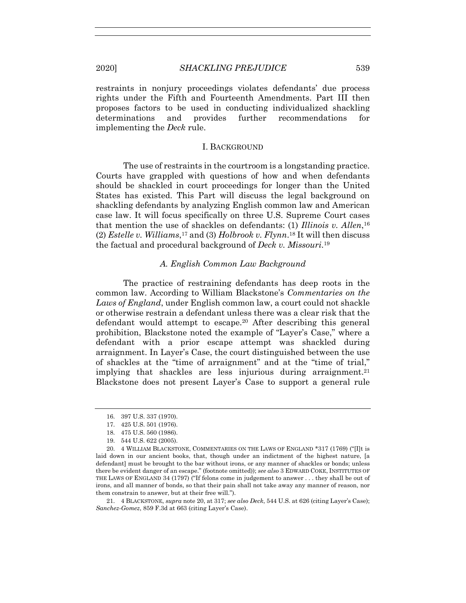restraints in nonjury proceedings violates defendants' due process rights under the Fifth and Fourteenth Amendments. Part III then proposes factors to be used in conducting individualized shackling determinations and provides further recommendations for implementing the *Deck* rule.

#### I. BACKGROUND

The use of restraints in the courtroom is a longstanding practice. Courts have grappled with questions of how and when defendants should be shackled in court proceedings for longer than the United States has existed. This Part will discuss the legal background on shackling defendants by analyzing English common law and American case law. It will focus specifically on three U.S. Supreme Court cases that mention the use of shackles on defendants: (1) *Illinois v. Allen*,16 (2) *Estelle v. Williams*,17 and (3) *Holbrook v. Flynn*.18 It will then discuss the factual and procedural background of *Deck v. Missouri*.19

## *A. English Common Law Background*

The practice of restraining defendants has deep roots in the common law. According to William Blackstone's *Commentaries on the Laws of England*, under English common law, a court could not shackle or otherwise restrain a defendant unless there was a clear risk that the defendant would attempt to escape.20 After describing this general prohibition, Blackstone noted the example of "Layer's Case," where a defendant with a prior escape attempt was shackled during arraignment. In Layer's Case, the court distinguished between the use of shackles at the "time of arraignment" and at the "time of trial," implying that shackles are less injurious during arraignment.<sup>21</sup> Blackstone does not present Layer's Case to support a general rule

 21. 4 BLACKSTONE, *supra* note 20, at 317; *see also Deck*, 544 U.S. at 626 (citing Layer's Case); *Sanchez-Gomez*, 859 F.3d at 663 (citing Layer's Case).

 <sup>16. 397</sup> U.S. 337 (1970).

 <sup>17. 425</sup> U.S. 501 (1976).

 <sup>18. 475</sup> U.S. 560 (1986).

 <sup>19. 544</sup> U.S. 622 (2005).

 <sup>20. 4</sup> WILLIAM BLACKSTONE, COMMENTARIES ON THE LAWS OF ENGLAND \*317 (1769) ("[I]t is laid down in our ancient books, that, though under an indictment of the highest nature, [a defendant] must be brought to the bar without irons, or any manner of shackles or bonds; unless there be evident danger of an escape." (footnote omitted)); *see also* 3 EDWARD COKE, INSTITUTES OF THE LAWS OF ENGLAND 34 (1797) ("If felons come in judgement to answer . . . they shall be out of irons, and all manner of bonds, so that their pain shall not take away any manner of reason, nor them constrain to answer, but at their free will.").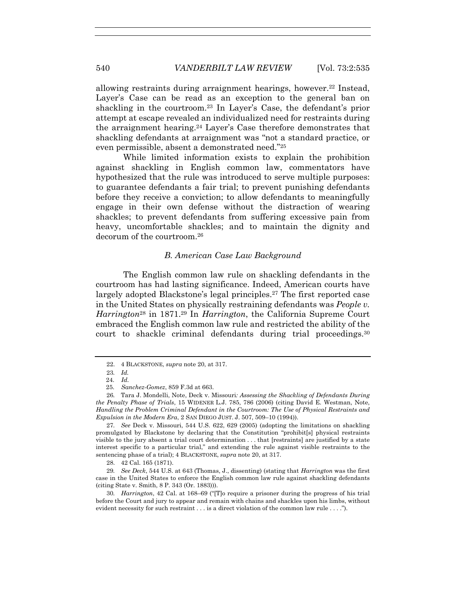allowing restraints during arraignment hearings, however.<sup>22</sup> Instead, Layer's Case can be read as an exception to the general ban on shackling in the courtroom.23 In Layer's Case, the defendant's prior attempt at escape revealed an individualized need for restraints during the arraignment hearing.24 Layer's Case therefore demonstrates that shackling defendants at arraignment was "not a standard practice, or even permissible, absent a demonstrated need."25

While limited information exists to explain the prohibition against shackling in English common law, commentators have hypothesized that the rule was introduced to serve multiple purposes: to guarantee defendants a fair trial; to prevent punishing defendants before they receive a conviction; to allow defendants to meaningfully engage in their own defense without the distraction of wearing shackles; to prevent defendants from suffering excessive pain from heavy, uncomfortable shackles; and to maintain the dignity and decorum of the courtroom.26

#### *B. American Case Law Background*

The English common law rule on shackling defendants in the courtroom has had lasting significance. Indeed, American courts have largely adopted Blackstone's legal principles.27 The first reported case in the United States on physically restraining defendants was *People v. Harrington*<sup>28</sup> in 1871.29 In *Harrington*, the California Supreme Court embraced the English common law rule and restricted the ability of the court to shackle criminal defendants during trial proceedings.30

27*. See* Deck v. Missouri, 544 U.S. 622, 629 (2005) (adopting the limitations on shackling promulgated by Blackstone by declaring that the Constitution "prohibit[s] physical restraints visible to the jury absent a trial court determination . . . that [restraints] are justified by a state interest specific to a particular trial," and extending the rule against visible restraints to the sentencing phase of a trial); 4 BLACKSTONE, *supra* note 20, at 317.

28. 42 Cal. 165 (1871).

29*. See Deck*, 544 U.S. at 643 (Thomas, J., dissenting) (stating that *Harrington* was the first case in the United States to enforce the English common law rule against shackling defendants (citing State v. Smith, 8 P. 343 (Or. 1883))).

30*. Harrington*, 42 Cal. at 168–69 ("[T]o require a prisoner during the progress of his trial before the Court and jury to appear and remain with chains and shackles upon his limbs, without evident necessity for such restraint . . . is a direct violation of the common law rule . . . .").

 <sup>22. 4</sup> BLACKSTONE, *supra* note 20, at 317.

<sup>23</sup>*. Id.*

 <sup>24.</sup> *Id.*

 <sup>25.</sup> *Sanchez-Gomez*, 859 F.3d at 663.

<sup>26</sup>*.* Tara J. Mondelli, Note, Deck v. Missouri*: Assessing the Shackling of Defendants During the Penalty Phase of Trials*, 15 WIDENER L.J. 785, 786 (2006) (citing David E. Westman, Note, *Handling the Problem Criminal Defendant in the Courtroom: The Use of Physical Restraints and Expulsion in the Modern Era*, 2 SAN DIEGO JUST. J. 507, 509–10 (1994)).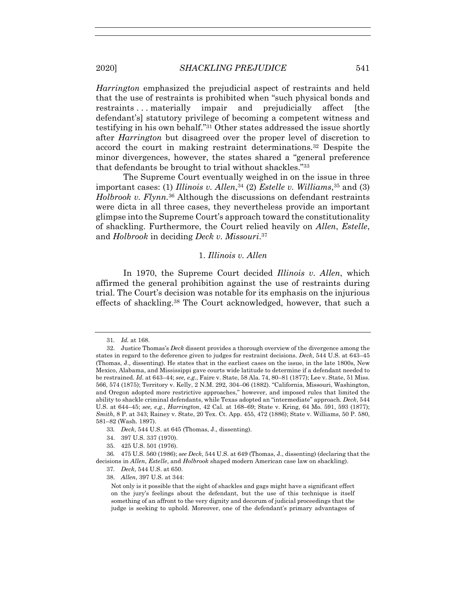*Harrington* emphasized the prejudicial aspect of restraints and held that the use of restraints is prohibited when "such physical bonds and restraints ... materially impair and prejudicially affect [the defendant's] statutory privilege of becoming a competent witness and testifying in his own behalf."31 Other states addressed the issue shortly after *Harrington* but disagreed over the proper level of discretion to accord the court in making restraint determinations.32 Despite the minor divergences, however, the states shared a "general preference that defendants be brought to trial without shackles."33

The Supreme Court eventually weighed in on the issue in three important cases: (1) *Illinois v. Allen*,34 (2) *Estelle v. Williams*,35 and (3) *Holbrook v. Flynn.*36 Although the discussions on defendant restraints were dicta in all three cases, they nevertheless provide an important glimpse into the Supreme Court's approach toward the constitutionality of shackling. Furthermore, the Court relied heavily on *Allen*, *Estelle*, and *Holbrook* in deciding *Deck v. Missouri*.37

## 1. *Illinois v. Allen*

In 1970, the Supreme Court decided *Illinois v. Allen*, which affirmed the general prohibition against the use of restraints during trial. The Court's decision was notable for its emphasis on the injurious effects of shackling.38 The Court acknowledged, however, that such a

35. 425 U.S. 501 (1976).

<sup>31</sup>*. Id.* at 168.

 <sup>32.</sup> Justice Thomas's *Deck* dissent provides a thorough overview of the divergence among the states in regard to the deference given to judges for restraint decisions. *Deck*, 544 U.S. at 643–45 (Thomas, J., dissenting). He states that in the earliest cases on the issue, in the late 1800s, New Mexico, Alabama, and Mississippi gave courts wide latitude to determine if a defendant needed to be restrained. *Id.* at 643–44; *see, e.g.*, Faire v. State, 58 Ala. 74, 80–81 (1877); Lee v. State, 51 Miss. 566, 574 (1875); Territory v. Kelly, 2 N.M. 292, 304–06 (1882). "California, Missouri, Washington, and Oregon adopted more restrictive approaches," however, and imposed rules that limited the ability to shackle criminal defendants, while Texas adopted an "intermediate" approach. *Deck*, 544 U*.*S. at 644–45; *see, e.g.*, *Harrington*, 42 Cal. at 168–69; State v. Kring, 64 Mo. 591, 593 (1877); *Smith*, 8 P. at 343; Rainey v. State, 20 Tex. Ct. App. 455, 472 (1886); State v. Williams, 50 P. 580, 581–82 (Wash. 1897).

<sup>33</sup>*. Deck*, 544 U.S. at 645 (Thomas, J., dissenting).

 <sup>34. 397</sup> U.S. 337 (1970).

<sup>36</sup>*.* 475 U.S. 560 (1986); *see Deck*, 544 U.S. at 649 (Thomas, J., dissenting) (declaring that the decisions in *Allen*, *Estelle*, and *Holbrook* shaped modern American case law on shackling).

<sup>37</sup>*. Deck*, 544 U.S. at 650.

 <sup>38.</sup> *Allen*, 397 U.S. at 344:

Not only is it possible that the sight of shackles and gags might have a significant effect on the jury's feelings about the defendant, but the use of this technique is itself something of an affront to the very dignity and decorum of judicial proceedings that the judge is seeking to uphold. Moreover, one of the defendant's primary advantages of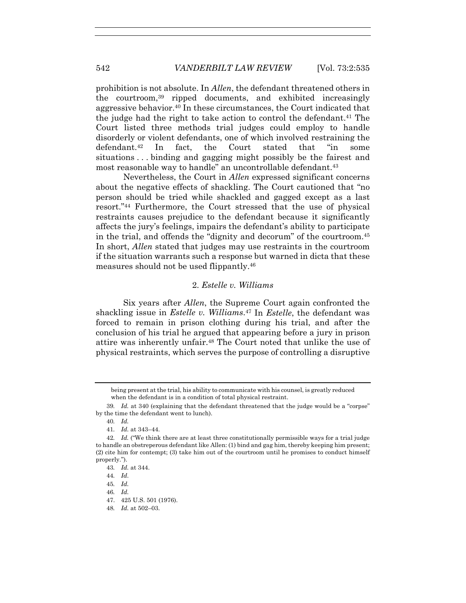prohibition is not absolute. In *Allen*, the defendant threatened others in the courtroom,39 ripped documents, and exhibited increasingly aggressive behavior.40 In these circumstances, the Court indicated that the judge had the right to take action to control the defendant.<sup>41</sup> The Court listed three methods trial judges could employ to handle disorderly or violent defendants, one of which involved restraining the defendant.42 In fact, the Court stated that "in some situations . . . binding and gagging might possibly be the fairest and most reasonable way to handle" an uncontrollable defendant.<sup>43</sup>

Nevertheless, the Court in *Allen* expressed significant concerns about the negative effects of shackling. The Court cautioned that "no person should be tried while shackled and gagged except as a last resort."44 Furthermore, the Court stressed that the use of physical restraints causes prejudice to the defendant because it significantly affects the jury's feelings, impairs the defendant's ability to participate in the trial, and offends the "dignity and decorum" of the courtroom.45 In short, *Allen* stated that judges may use restraints in the courtroom if the situation warrants such a response but warned in dicta that these measures should not be used flippantly.46

## 2. *Estelle v. Williams*

Six years after *Allen*, the Supreme Court again confronted the shackling issue in *Estelle v. Williams*.47 In *Estelle*, the defendant was forced to remain in prison clothing during his trial, and after the conclusion of his trial he argued that appearing before a jury in prison attire was inherently unfair.48 The Court noted that unlike the use of physical restraints, which serves the purpose of controlling a disruptive

- 46*. Id.*
- 47. 425 U.S. 501 (1976).
- 48*. Id.* at 502–03.

being present at the trial, his ability to communicate with his counsel, is greatly reduced when the defendant is in a condition of total physical restraint.

<sup>39</sup>*. Id.* at 340 (explaining that the defendant threatened that the judge would be a "corpse" by the time the defendant went to lunch).

<sup>40</sup>*. Id.*

<sup>41</sup>*. Id.* at 343–44.

<sup>42</sup>*. Id.* ("We think there are at least three constitutionally permissible ways for a trial judge to handle an obstreperous defendant like Allen: (1) bind and gag him, thereby keeping him present; (2) cite him for contempt; (3) take him out of the courtroom until he promises to conduct himself properly.").

<sup>43</sup>*. Id.* at 344.

<sup>44</sup>*. Id*.

<sup>45</sup>*. Id.*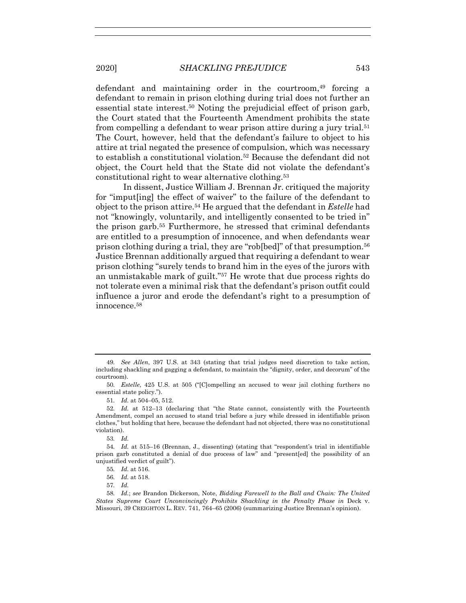defendant and maintaining order in the courtroom,49 forcing a defendant to remain in prison clothing during trial does not further an essential state interest.50 Noting the prejudicial effect of prison garb, the Court stated that the Fourteenth Amendment prohibits the state from compelling a defendant to wear prison attire during a jury trial.<sup>51</sup> The Court, however, held that the defendant's failure to object to his attire at trial negated the presence of compulsion, which was necessary to establish a constitutional violation.52 Because the defendant did not object, the Court held that the State did not violate the defendant's constitutional right to wear alternative clothing.53

In dissent, Justice William J. Brennan Jr. critiqued the majority for "imput[ing] the effect of waiver" to the failure of the defendant to object to the prison attire.54 He argued that the defendant in *Estelle* had not "knowingly, voluntarily, and intelligently consented to be tried in" the prison garb.55 Furthermore, he stressed that criminal defendants are entitled to a presumption of innocence, and when defendants wear prison clothing during a trial, they are "rob[bed]" of that presumption.56 Justice Brennan additionally argued that requiring a defendant to wear prison clothing "surely tends to brand him in the eyes of the jurors with an unmistakable mark of guilt."57 He wrote that due process rights do not tolerate even a minimal risk that the defendant's prison outfit could influence a juror and erode the defendant's right to a presumption of innocence.58

53*. Id.*

54*. Id.* at 515–16 (Brennan, J., dissenting) (stating that "respondent's trial in identifiable prison garb constituted a denial of due process of law" and "present[ed] the possibility of an unjustified verdict of guilt").

<sup>49</sup>*. See Allen*, 397 U.S. at 343 (stating that trial judges need discretion to take action, including shackling and gagging a defendant, to maintain the "dignity, order, and decorum" of the courtroom).

<sup>50</sup>*. Estelle*, 425 U.S. at 505 ("[C]ompelling an accused to wear jail clothing furthers no essential state policy.").

<sup>51</sup>*. Id.* at 504–05, 512.

<sup>52</sup>*. Id.* at 512–13 (declaring that "the State cannot, consistently with the Fourteenth Amendment, compel an accused to stand trial before a jury while dressed in identifiable prison clothes," but holding that here, because the defendant had not objected, there was no constitutional violation).

<sup>55</sup>*. Id.* at 516.

<sup>56</sup>*. Id.* at 518.

<sup>57</sup>*. Id.*

<sup>58</sup>*. Id.*; *see* Brandon Dickerson, Note, *Bidding Farewell to the Ball and Chain: The United States Supreme Court Unconvincingly Prohibits Shackling in the Penalty Phase in* Deck v. Missouri, 39 CREIGHTON L. REV. 741, 764–65 (2006) (summarizing Justice Brennan's opinion).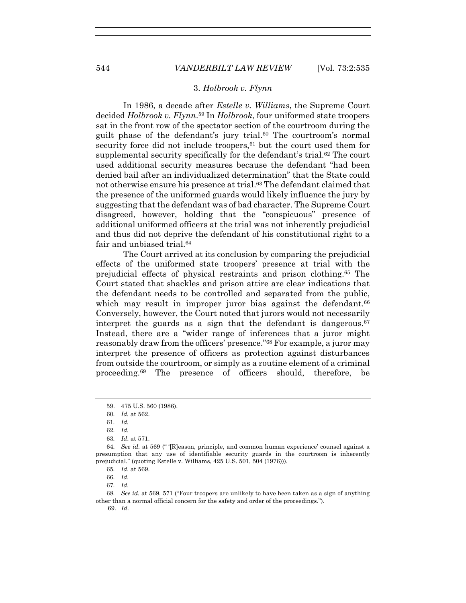#### 3. *Holbrook v. Flynn*

In 1986, a decade after *Estelle v. Williams*, the Supreme Court decided *Holbrook v. Flynn*.59 In *Holbrook*, four uniformed state troopers sat in the front row of the spectator section of the courtroom during the guilt phase of the defendant's jury trial.60 The courtroom's normal security force did not include troopers,  $61$  but the court used them for supplemental security specifically for the defendant's trial.62 The court used additional security measures because the defendant "had been denied bail after an individualized determination" that the State could not otherwise ensure his presence at trial.<sup>63</sup> The defendant claimed that the presence of the uniformed guards would likely influence the jury by suggesting that the defendant was of bad character. The Supreme Court disagreed, however, holding that the "conspicuous" presence of additional uniformed officers at the trial was not inherently prejudicial and thus did not deprive the defendant of his constitutional right to a fair and unbiased trial.<sup>64</sup>

The Court arrived at its conclusion by comparing the prejudicial effects of the uniformed state troopers' presence at trial with the prejudicial effects of physical restraints and prison clothing.65 The Court stated that shackles and prison attire are clear indications that the defendant needs to be controlled and separated from the public, which may result in improper juror bias against the defendant.<sup>66</sup> Conversely, however, the Court noted that jurors would not necessarily interpret the guards as a sign that the defendant is dangerous.  $67$ Instead, there are a "wider range of inferences that a juror might reasonably draw from the officers' presence."68 For example, a juror may interpret the presence of officers as protection against disturbances from outside the courtroom, or simply as a routine element of a criminal proceeding.69 The presence of officers should, therefore, be

 <sup>59. 475</sup> U.S. 560 (1986).

<sup>60</sup>*. Id.* at 562.

<sup>61</sup>*. Id.*

<sup>62</sup>*. Id.*

<sup>63</sup>*. Id*. at 571.

<sup>64</sup>*. See id.* at 569 (" '[R]eason, principle, and common human experience' counsel against a presumption that any use of identifiable security guards in the courtroom is inherently prejudicial." (quoting Estelle v. Williams, 425 U.S. 501, 504 (1976))).

<sup>65</sup>*. Id.* at 569.

<sup>66</sup>*. Id.*

<sup>67</sup>*. Id.*

<sup>68</sup>*. See id.* at 569, 571 ("Four troopers are unlikely to have been taken as a sign of anything other than a normal official concern for the safety and order of the proceedings.").

 <sup>69.</sup> *Id.*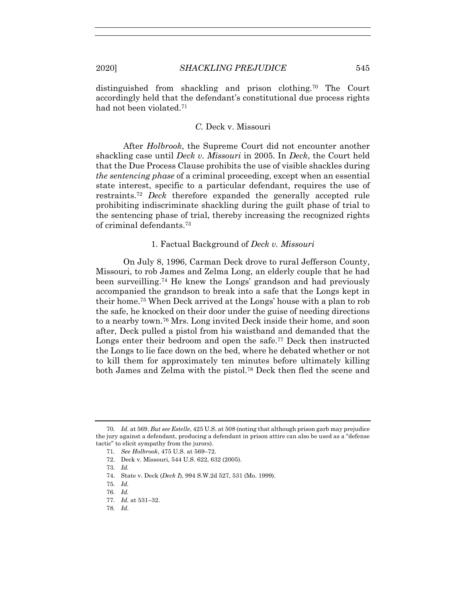distinguished from shackling and prison clothing.70 The Court accordingly held that the defendant's constitutional due process rights had not been violated.71

## *C.* Deck v. Missouri

After *Holbrook*, the Supreme Court did not encounter another shackling case until *Deck v. Missouri* in 2005. In *Deck*, the Court held that the Due Process Clause prohibits the use of visible shackles during *the sentencing phase* of a criminal proceeding, except when an essential state interest, specific to a particular defendant, requires the use of restraints.72 *Deck* therefore expanded the generally accepted rule prohibiting indiscriminate shackling during the guilt phase of trial to the sentencing phase of trial, thereby increasing the recognized rights of criminal defendants.73

## 1. Factual Background of *Deck v. Missouri*

On July 8, 1996, Carman Deck drove to rural Jefferson County, Missouri, to rob James and Zelma Long, an elderly couple that he had been surveilling.74 He knew the Longs' grandson and had previously accompanied the grandson to break into a safe that the Longs kept in their home.75 When Deck arrived at the Longs' house with a plan to rob the safe, he knocked on their door under the guise of needing directions to a nearby town.76 Mrs. Long invited Deck inside their home, and soon after, Deck pulled a pistol from his waistband and demanded that the Longs enter their bedroom and open the safe.<sup>77</sup> Deck then instructed the Longs to lie face down on the bed, where he debated whether or not to kill them for approximately ten minutes before ultimately killing both James and Zelma with the pistol.78 Deck then fled the scene and

- 73*. Id.*
- 74. State v. Deck (*Deck I*), 994 S.W.2d 527, 531 (Mo. 1999).
- 75*. Id.*
- 76*. Id.*
- 77*. Id.* at 531–32.
- 78*. Id.*

<sup>70</sup>*. Id.* at 569. *But see Estelle*, 425 U.S. at 508 (noting that although prison garb may prejudice the jury against a defendant, producing a defendant in prison attire can also be used as a "defense tactic" to elicit sympathy from the jurors).

<sup>71</sup>*. See Holbrook*, 475 U.S. at 569–72.

 <sup>72.</sup> Deck v. Missouri, 544 U.S. 622, 632 (2005).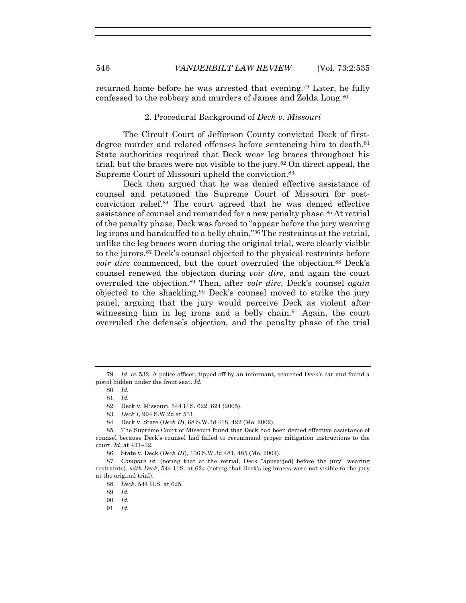returned home before he was arrested that evening.79 Later, he fully confessed to the robbery and murders of James and Zelda Long.80

2. Procedural Background of *Deck v. Missouri*

The Circuit Court of Jefferson County convicted Deck of firstdegree murder and related offenses before sentencing him to death.<sup>81</sup> State authorities required that Deck wear leg braces throughout his trial, but the braces were not visible to the jury.82 On direct appeal, the Supreme Court of Missouri upheld the conviction.<sup>83</sup>

Deck then argued that he was denied effective assistance of counsel and petitioned the Supreme Court of Missouri for postconviction relief.84 The court agreed that he was denied effective assistance of counsel and remanded for a new penalty phase.<sup>85</sup> At retrial of the penalty phase, Deck was forced to "appear before the jury wearing leg irons and handcuffed to a belly chain."86 The restraints at the retrial, unlike the leg braces worn during the original trial, were clearly visible to the jurors.87 Deck's counsel objected to the physical restraints before *voir dire* commenced, but the court overruled the objection.<sup>88</sup> Deck's counsel renewed the objection during *voir dire*, and again the court overruled the objection.89 Then, after *voir dire*, Deck's counsel *again* objected to the shackling.90 Deck's counsel moved to strike the jury panel, arguing that the jury would perceive Deck as violent after witnessing him in leg irons and a belly chain.<sup>91</sup> Again, the court overruled the defense's objection, and the penalty phase of the trial

91*. Id.*

<sup>79</sup>*. Id.* at 532. A police officer, tipped off by an informant, searched Deck's car and found a pistol hidden under the front seat. *Id.*

<sup>80</sup>*. Id.*

<sup>81</sup>*. Id.*

 <sup>82.</sup> Deck v. Missouri, 544 U.S. 622, 624 (2005).

<sup>83</sup>*. Deck I*, 994 S.W.2d at 531.

 <sup>84.</sup> Deck v. State (*Deck II*), 68 S.W.3d 418, 422 (Mo. 2002).

 <sup>85.</sup> The Supreme Court of Missouri found that Deck had been denied effective assistance of counsel because Deck's counsel had failed to recommend proper mitigation instructions to the court. *Id*. at 431–32.

 <sup>86.</sup> State v. Deck (*Deck III*), 136 S.W.3d 481, 485 (Mo. 2004).

<sup>87</sup>*. Compare id.* (noting that at the retrial, Deck "appear[ed] before the jury" wearing restraints), *with Deck*, 544 U.S. at 624 (noting that Deck's leg braces were not visible to the jury at the original trial).

<sup>88</sup>*. Deck*, 544 U.S. at 625.

<sup>89</sup>*. Id.*

<sup>90</sup>*. Id.*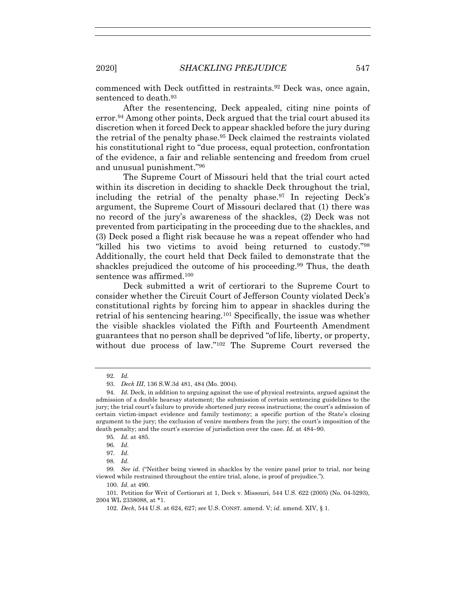commenced with Deck outfitted in restraints.92 Deck was, once again, sentenced to death.<sup>93</sup>

After the resentencing, Deck appealed, citing nine points of error.94 Among other points, Deck argued that the trial court abused its discretion when it forced Deck to appear shackled before the jury during the retrial of the penalty phase.95 Deck claimed the restraints violated his constitutional right to "due process, equal protection, confrontation of the evidence, a fair and reliable sentencing and freedom from cruel and unusual punishment."96

The Supreme Court of Missouri held that the trial court acted within its discretion in deciding to shackle Deck throughout the trial, including the retrial of the penalty phase.97 In rejecting Deck's argument, the Supreme Court of Missouri declared that (1) there was no record of the jury's awareness of the shackles, (2) Deck was not prevented from participating in the proceeding due to the shackles, and (3) Deck posed a flight risk because he was a repeat offender who had "killed his two victims to avoid being returned to custody."98 Additionally, the court held that Deck failed to demonstrate that the shackles prejudiced the outcome of his proceeding.<sup>99</sup> Thus, the death sentence was affirmed.100

Deck submitted a writ of certiorari to the Supreme Court to consider whether the Circuit Court of Jefferson County violated Deck's constitutional rights by forcing him to appear in shackles during the retrial of his sentencing hearing.101 Specifically, the issue was whether the visible shackles violated the Fifth and Fourteenth Amendment guarantees that no person shall be deprived "of life, liberty, or property, without due process of law."102 The Supreme Court reversed the

<sup>92</sup>*. Id.*

 <sup>93.</sup> *Deck III*, 136 S.W.3d 481, 484 (Mo. 2004).

<sup>94</sup>*. Id.* Deck, in addition to arguing against the use of physical restraints, argued against the admission of a double hearsay statement; the submission of certain sentencing guidelines to the jury; the trial court's failure to provide shortened jury recess instructions; the court's admission of certain victim-impact evidence and family testimony; a specific portion of the State's closing argument to the jury; the exclusion of venire members from the jury; the court's imposition of the death penalty; and the court's exercise of jurisdiction over the case. *Id.* at 484–90.

<sup>95</sup>*. Id.* at 485.

<sup>96</sup>*. Id.*

<sup>97</sup>*. Id.*

<sup>98</sup>*. Id.*

<sup>99</sup>*. See id.* ("Neither being viewed in shackles by the venire panel prior to trial, nor being viewed while restrained throughout the entire trial, alone, is proof of prejudice.").

<sup>100</sup>*. Id.* at 490.

<sup>101</sup>*.* Petition for Writ of Certiorari at 1, Deck v. Missouri, 544 U.S. 622 (2005) (No. 04-5293), 2004 WL 2338088, at \*1.

<sup>102</sup>*. Deck*, 544 U.S. at 624, 627; *see* U.S. CONST. amend. V; *id.* amend. XIV, § 1.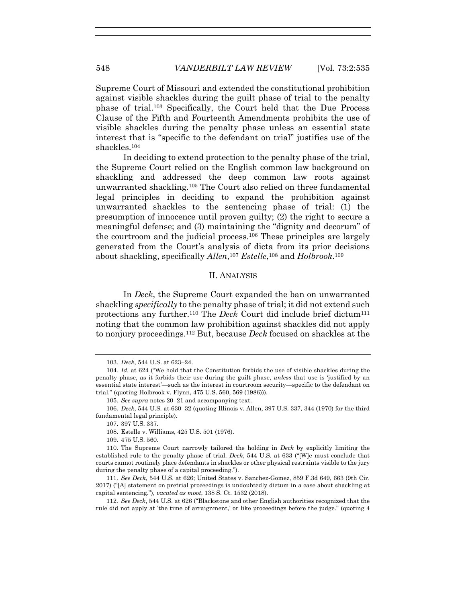Supreme Court of Missouri and extended the constitutional prohibition against visible shackles during the guilt phase of trial to the penalty phase of trial.103 Specifically, the Court held that the Due Process Clause of the Fifth and Fourteenth Amendments prohibits the use of visible shackles during the penalty phase unless an essential state interest that is "specific to the defendant on trial" justifies use of the shackles.104

In deciding to extend protection to the penalty phase of the trial, the Supreme Court relied on the English common law background on shackling and addressed the deep common law roots against unwarranted shackling.105 The Court also relied on three fundamental legal principles in deciding to expand the prohibition against unwarranted shackles to the sentencing phase of trial: (1) the presumption of innocence until proven guilty; (2) the right to secure a meaningful defense; and (3) maintaining the "dignity and decorum" of the courtroom and the judicial process.106 These principles are largely generated from the Court's analysis of dicta from its prior decisions about shackling, specifically *Allen*,107 *Estelle*,108 and *Holbrook*.109

#### II. ANALYSIS

In *Deck*, the Supreme Court expanded the ban on unwarranted shackling *specifically* to the penalty phase of trial; it did not extend such protections any further.110 The *Deck* Court did include brief dictum111 noting that the common law prohibition against shackles did not apply to nonjury proceedings.112 But, because *Deck* focused on shackles at the

112*. See Deck*, 544 U.S. at 626 ("Blackstone and other English authorities recognized that the rule did not apply at 'the time of arraignment,' or like proceedings before the judge." (quoting 4

<sup>103</sup>*. Deck*, 544 U.S. at 623–24.

<sup>104</sup>*. Id.* at 624 ("We hold that the Constitution forbids the use of visible shackles during the penalty phase, as it forbids their use during the guilt phase, *unless* that use is 'justified by an essential state interest'—such as the interest in courtroom security—specific to the defendant on trial." (quoting Holbrook v. Flynn, 475 U.S. 560, 569 (1986))).

<sup>105</sup>*. See supra* notes 20–21 and accompanying text.

<sup>106</sup>*. Deck*, 544 U.S. at 630–32 (quoting Illinois v. Allen, 397 U.S. 337, 344 (1970) for the third fundamental legal principle).

 <sup>107. 397</sup> U.S. 337.

 <sup>108.</sup> Estelle v. Williams, 425 U.S. 501 (1976).

 <sup>109. 475</sup> U.S. 560.

 <sup>110.</sup> The Supreme Court narrowly tailored the holding in *Deck* by explicitly limiting the established rule to the penalty phase of trial. *Deck*, 544 U.S. at 633 ("[W]e must conclude that courts cannot routinely place defendants in shackles or other physical restraints visible to the jury during the penalty phase of a capital proceeding.").

<sup>111</sup>*. See Deck*, 544 U.S. at 626; United States v. Sanchez-Gomez, 859 F.3d 649, 663 (9th Cir. 2017) ("[A] statement on pretrial proceedings is undoubtedly dictum in a case about shackling at capital sentencing."), *vacated as moot*, 138 S. Ct. 1532 (2018).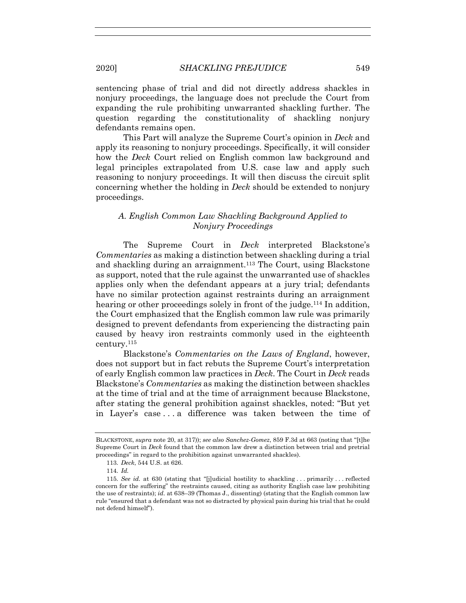sentencing phase of trial and did not directly address shackles in nonjury proceedings, the language does not preclude the Court from expanding the rule prohibiting unwarranted shackling further. The question regarding the constitutionality of shackling nonjury defendants remains open.

This Part will analyze the Supreme Court's opinion in *Deck* and apply its reasoning to nonjury proceedings. Specifically, it will consider how the *Deck* Court relied on English common law background and legal principles extrapolated from U.S. case law and apply such reasoning to nonjury proceedings. It will then discuss the circuit split concerning whether the holding in *Deck* should be extended to nonjury proceedings.

## *A. English Common Law Shackling Background Applied to Nonjury Proceedings*

The Supreme Court in *Deck* interpreted Blackstone's *Commentaries* as making a distinction between shackling during a trial and shackling during an arraignment.<sup>113</sup> The Court, using Blackstone as support, noted that the rule against the unwarranted use of shackles applies only when the defendant appears at a jury trial; defendants have no similar protection against restraints during an arraignment hearing or other proceedings solely in front of the judge.<sup>114</sup> In addition, the Court emphasized that the English common law rule was primarily designed to prevent defendants from experiencing the distracting pain caused by heavy iron restraints commonly used in the eighteenth century.115

Blackstone's *Commentaries on the Laws of England*, however, does not support but in fact rebuts the Supreme Court's interpretation of early English common law practices in *Deck*. The Court in *Deck* reads Blackstone's *Commentaries* as making the distinction between shackles at the time of trial and at the time of arraignment because Blackstone, after stating the general prohibition against shackles, noted: "But yet in Layer's case . . . a difference was taken between the time of

BLACKSTONE, *supra* note 20, at 317)); *see also Sanchez-Gomez*, 859 F.3d at 663 (noting that "[t]he Supreme Court in *Deck* found that the common law drew a distinction between trial and pretrial proceedings" in regard to the prohibition against unwarranted shackles).

<sup>113</sup>*. Deck*, 544 U.S. at 626.

<sup>114</sup>*. Id.*

<sup>115</sup>*. See id.* at 630 (stating that "[j]udicial hostility to shackling . . . primarily . . . reflected concern for the suffering" the restraints caused, citing as authority English case law prohibiting the use of restraints); *id.* at 638–39 (Thomas J., dissenting) (stating that the English common law rule "ensured that a defendant was not so distracted by physical pain during his trial that he could not defend himself").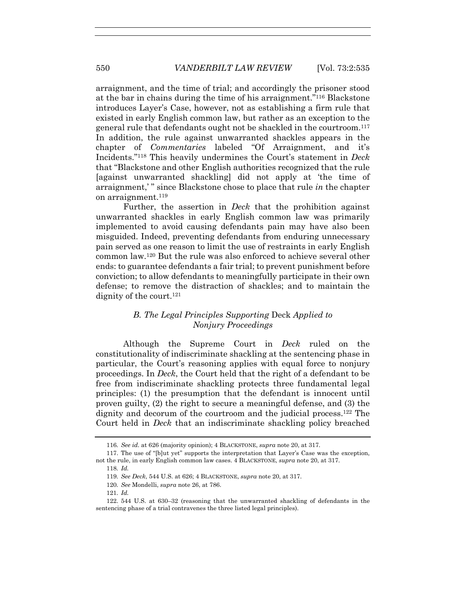arraignment, and the time of trial; and accordingly the prisoner stood at the bar in chains during the time of his arraignment."116 Blackstone introduces Layer's Case, however, not as establishing a firm rule that existed in early English common law, but rather as an exception to the general rule that defendants ought not be shackled in the courtroom.117 In addition, the rule against unwarranted shackles appears in the chapter of *Commentaries* labeled "Of Arraignment, and it's Incidents."118 This heavily undermines the Court's statement in *Deck* that "Blackstone and other English authorities recognized that the rule [against unwarranted shackling] did not apply at 'the time of arraignment,' " since Blackstone chose to place that rule *in* the chapter on arraignment.119

Further, the assertion in *Deck* that the prohibition against unwarranted shackles in early English common law was primarily implemented to avoid causing defendants pain may have also been misguided. Indeed, preventing defendants from enduring unnecessary pain served as one reason to limit the use of restraints in early English common law.120 But the rule was also enforced to achieve several other ends: to guarantee defendants a fair trial; to prevent punishment before conviction; to allow defendants to meaningfully participate in their own defense; to remove the distraction of shackles; and to maintain the dignity of the court.<sup>121</sup>

## *B. The Legal Principles Supporting* Deck *Applied to Nonjury Proceedings*

Although the Supreme Court in *Deck* ruled on the constitutionality of indiscriminate shackling at the sentencing phase in particular, the Court's reasoning applies with equal force to nonjury proceedings. In *Deck*, the Court held that the right of a defendant to be free from indiscriminate shackling protects three fundamental legal principles: (1) the presumption that the defendant is innocent until proven guilty, (2) the right to secure a meaningful defense, and (3) the dignity and decorum of the courtroom and the judicial process.<sup>122</sup> The Court held in *Deck* that an indiscriminate shackling policy breached

118*. Id.*

<sup>116</sup>*. See id.* at 626 (majority opinion); 4 BLACKSTONE, *supra* note 20, at 317.

 <sup>117.</sup> The use of "[b]ut yet" supports the interpretation that Layer's Case was the exception, not the rule, in early English common law cases. 4 BLACKSTONE, *supra* note 20, at 317.

<sup>119</sup>*. See Deck*, 544 U.S. at 626; 4 BLACKSTONE, *supra* note 20, at 317.

<sup>120</sup>*. See* Mondelli, *supra* note 26, at 786.

<sup>121</sup>*. Id.*

 <sup>122. 544</sup> U.S. at 630–32 (reasoning that the unwarranted shackling of defendants in the sentencing phase of a trial contravenes the three listed legal principles).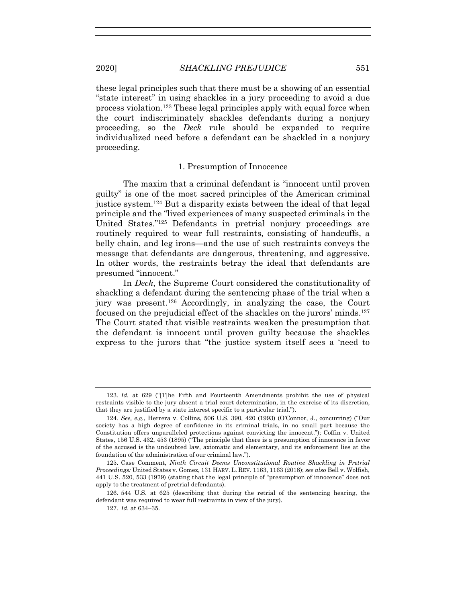these legal principles such that there must be a showing of an essential "state interest" in using shackles in a jury proceeding to avoid a due process violation.123 These legal principles apply with equal force when the court indiscriminately shackles defendants during a nonjury proceeding, so the *Deck* rule should be expanded to require individualized need before a defendant can be shackled in a nonjury proceeding.

## 1. Presumption of Innocence

The maxim that a criminal defendant is "innocent until proven guilty" is one of the most sacred principles of the American criminal justice system.124 But a disparity exists between the ideal of that legal principle and the "lived experiences of many suspected criminals in the United States."125 Defendants in pretrial nonjury proceedings are routinely required to wear full restraints, consisting of handcuffs, a belly chain, and leg irons—and the use of such restraints conveys the message that defendants are dangerous, threatening, and aggressive. In other words, the restraints betray the ideal that defendants are presumed "innocent."

In *Deck*, the Supreme Court considered the constitutionality of shackling a defendant during the sentencing phase of the trial when a jury was present.126 Accordingly, in analyzing the case, the Court focused on the prejudicial effect of the shackles on the jurors' minds.127 The Court stated that visible restraints weaken the presumption that the defendant is innocent until proven guilty because the shackles express to the jurors that "the justice system itself sees a 'need to

<sup>123</sup>*. Id.* at 629 ("[T]he Fifth and Fourteenth Amendments prohibit the use of physical restraints visible to the jury absent a trial court determination, in the exercise of its discretion, that they are justified by a state interest specific to a particular trial.").

<sup>124</sup>*. See, e.g.*, Herrera v. Collins, 506 U.S. 390, 420 (1993) (O'Connor, J., concurring) ("Our society has a high degree of confidence in its criminal trials, in no small part because the Constitution offers unparalleled protections against convicting the innocent."); Coffin v. United States, 156 U.S. 432, 453 (1895) ("The principle that there is a presumption of innocence in favor of the accused is the undoubted law, axiomatic and elementary, and its enforcement lies at the foundation of the administration of our criminal law.").

 <sup>125.</sup> Case Comment, *Ninth Circuit Deems Unconstitutional Routine Shackling in Pretrial Proceedings:* United States v. Gomez, 131 HARV. L. REV. 1163, 1163 (2018); *see also* Bell v. Wolfish, 441 U.S. 520, 533 (1979) (stating that the legal principle of "presumption of innocence" does not apply to the treatment of pretrial defendants).

 <sup>126. 544</sup> U.S. at 625 (describing that during the retrial of the sentencing hearing, the defendant was required to wear full restraints in view of the jury).

<sup>127</sup>*. Id.* at 634–35.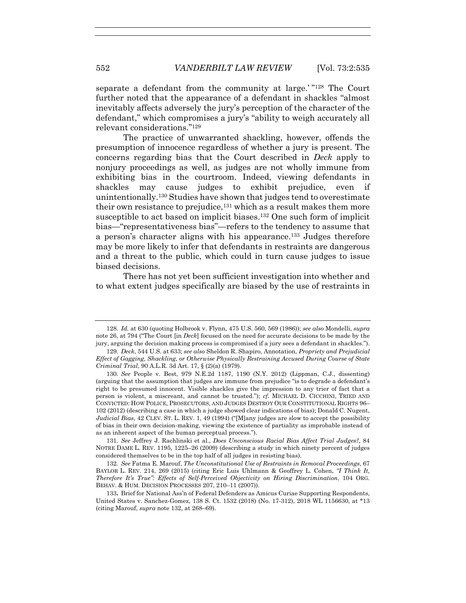separate a defendant from the community at large.'"<sup>128</sup> The Court further noted that the appearance of a defendant in shackles "almost inevitably affects adversely the jury's perception of the character of the defendant," which compromises a jury's "ability to weigh accurately all relevant considerations."129

The practice of unwarranted shackling, however, offends the presumption of innocence regardless of whether a jury is present. The concerns regarding bias that the Court described in *Deck* apply to nonjury proceedings as well, as judges are not wholly immune from exhibiting bias in the courtroom. Indeed, viewing defendants in shackles may cause judges to exhibit prejudice, even if unintentionally.130 Studies have shown that judges tend to overestimate their own resistance to prejudice,  $131$  which as a result makes them more susceptible to act based on implicit biases.132 One such form of implicit bias—"representativeness bias"—refers to the tendency to assume that a person's character aligns with his appearance.133 Judges therefore may be more likely to infer that defendants in restraints are dangerous and a threat to the public, which could in turn cause judges to issue biased decisions.

There has not yet been sufficient investigation into whether and to what extent judges specifically are biased by the use of restraints in

131*. See* Jeffrey J. Rachlinski et al., *Does Unconscious Racial Bias Affect Trial Judges?*, 84 NOTRE DAME L. REV. 1195, 1225–26 (2009) (describing a study in which ninety percent of judges considered themselves to be in the top half of all judges in resisting bias).

<sup>128</sup>*. Id.* at 630 (quoting Holbrook v. Flynn, 475 U.S. 560, 569 (1986)); *see also* Mondelli, *supra*  note 26, at 794 ("The Court [in *Deck*] focused on the need for accurate decisions to be made by the jury, arguing the decision making process is compromised if a jury sees a defendant in shackles.").

<sup>129</sup>*. Deck*, 544 U.S. at 633; *see also* Sheldon R. Shapiro, Annotation, *Propriety and Prejudicial Effect of Gagging, Shackling, or Otherwise Physically Restraining Accused During Course of State Criminal Trial*, 90 A.L.R. 3d Art. 17, § (2)(a) (1979).

<sup>130</sup>*. See* People v. Best, 979 N.E.2d 1187, 1190 (N.Y. 2012) (Lippman, C.J., dissenting) (arguing that the assumption that judges are immune from prejudice "is to degrade a defendant's right to be presumed innocent. Visible shackles give the impression to any trier of fact that a person is violent, a miscreant, and cannot be trusted."); *cf.* MICHAEL D. CICCHINI, TRIED AND CONVICTED: HOW POLICE, PROSECUTORS, AND JUDGES DESTROY OUR CONSTITUTIONAL RIGHTS 96– 102 (2012) (describing a case in which a judge showed clear indications of bias); Donald C. Nugent, *Judicial Bias*, 42 CLEV. ST. L. REV. 1, 49 (1994) ("[M]any judges are slow to accept the possibility of bias in their own decision-making, viewing the existence of partiality as improbable instead of as an inherent aspect of the human perceptual process.").

<sup>132</sup>*. See* Fatma E. Marouf, *The Unconstitutional Use of Restraints in Removal Proceedings*, 67 BAYLOR L. REV. 214, 269 (2015) (citing Eric Luis Uhlmann & Geoffrey L. Cohen, *"I Think It, Therefore It's True": Effects of Self-Perceived Objectivity on Hiring Discrimination*, 104 ORG. BEHAV. & HUM. DECISION PROCESSES 207, 210–11 (2007)).

<sup>133</sup>**.** Brief for National Ass'n of Federal Defenders as Amicus Curiae Supporting Respondents, United States v. Sanchez-Gomez, 138 S. Ct. 1532 (2018) (No. 17-312), 2018 WL 1156630, at \*13 (citing Marouf, *supra* note 132, at 268–69).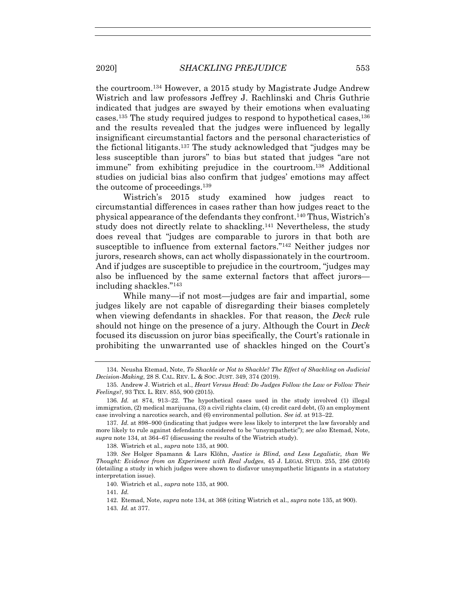the courtroom.134 However, a 2015 study by Magistrate Judge Andrew Wistrich and law professors Jeffrey J. Rachlinski and Chris Guthrie indicated that judges are swayed by their emotions when evaluating cases.135 The study required judges to respond to hypothetical cases,136 and the results revealed that the judges were influenced by legally insignificant circumstantial factors and the personal characteristics of the fictional litigants.137 The study acknowledged that "judges may be less susceptible than jurors" to bias but stated that judges "are not immune" from exhibiting prejudice in the courtroom.138 Additional studies on judicial bias also confirm that judges' emotions may affect the outcome of proceedings.139

Wistrich's 2015 study examined how judges react to circumstantial differences in cases rather than how judges react to the physical appearance of the defendants they confront.140 Thus, Wistrich's study does not directly relate to shackling.141 Nevertheless, the study does reveal that "judges are comparable to jurors in that both are susceptible to influence from external factors."142 Neither judges nor jurors, research shows, can act wholly dispassionately in the courtroom. And if judges are susceptible to prejudice in the courtroom, "judges may also be influenced by the same external factors that affect jurors including shackles."143

While many—if not most—judges are fair and impartial, some judges likely are not capable of disregarding their biases completely when viewing defendants in shackles. For that reason, the *Deck* rule should not hinge on the presence of a jury. Although the Court in *Deck* focused its discussion on juror bias specifically, the Court's rationale in prohibiting the unwarranted use of shackles hinged on the Court's

138. Wistrich et al., *supra* note 135, at 900.

139*. See* Holger Spamann & Lars Klöhn, *Justice is Blind, and Less Legalistic, than We Thought: Evidence from an Experiment with Real Judges*, 45 J. LEGAL STUD. 255, 256 (2016) (detailing a study in which judges were shown to disfavor unsympathetic litigants in a statutory interpretation issue).

140*.* Wistrich et al., *supra* note 135, at 900.

141*. Id.*

 142. Etemad, Note, *supra* note 134, at 368 (citing Wistrich et al., *supra* note 135, at 900). 143*. Id.* at 377.

 <sup>134.</sup> Neusha Etemad, Note, *To Shackle or Not to Shackle? The Effect of Shackling on Judicial Decision-Making*, 28 S. CAL. REV. L. & SOC. JUST. 349, 374 (2019).

<sup>135</sup>*.* Andrew J. Wistrich et al., *Heart Versus Head: Do Judges Follow the Law or Follow Their Feelings?*, 93 TEX. L. REV. 855, 900 (2015).

<sup>136</sup>*. Id.* at 874, 913–22. The hypothetical cases used in the study involved (1) illegal immigration, (2) medical marijuana, (3) a civil rights claim, (4) credit card debt, (5) an employment case involving a narcotics search, and (6) environmental pollution. *See id.* at 913–22.

<sup>137</sup>*. Id.* at 898–900 (indicating that judges were less likely to interpret the law favorably and more likely to rule against defendants considered to be "unsympathetic"); *see also* Etemad, Note, *supra* note 134, at 364–67 (discussing the results of the Wistrich study).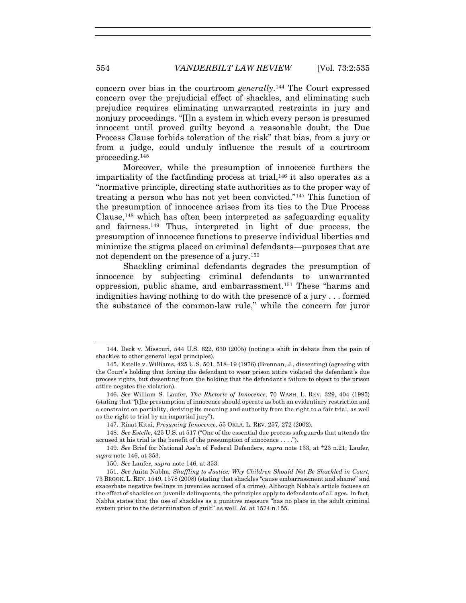concern over bias in the courtroom *generally*.144 The Court expressed concern over the prejudicial effect of shackles, and eliminating such prejudice requires eliminating unwarranted restraints in jury and nonjury proceedings. "[I]n a system in which every person is presumed innocent until proved guilty beyond a reasonable doubt, the Due Process Clause forbids toleration of the risk" that bias, from a jury or from a judge, could unduly influence the result of a courtroom proceeding.145

Moreover, while the presumption of innocence furthers the impartiality of the factfinding process at trial,  $146$  it also operates as a "normative principle, directing state authorities as to the proper way of treating a person who has not yet been convicted."147 This function of the presumption of innocence arises from its ties to the Due Process Clause, $148$  which has often been interpreted as safeguarding equality and fairness.149 Thus, interpreted in light of due process, the presumption of innocence functions to preserve individual liberties and minimize the stigma placed on criminal defendants—purposes that are not dependent on the presence of a jury.150

Shackling criminal defendants degrades the presumption of innocence by subjecting criminal defendants to unwarranted oppression, public shame, and embarrassment.151 These "harms and indignities having nothing to do with the presence of a jury . . . formed the substance of the common-law rule," while the concern for juror

147. Rinat Kitai, *Presuming Innocence*, 55 OKLA. L. REV. 257, 272 (2002).

148*. See Estelle*, 425 U.S. at 517 ("One of the essential due process safeguards that attends the accused at his trial is the benefit of the presumption of innocence . . . .").

149*. See* Brief for National Ass'n of Federal Defenders, *supra* note 133, at \*23 n.21; Laufer, *supra* note 146, at 353.

150*. See* Laufer, *supra* note 146, at 353.

 <sup>144.</sup> Deck v. Missouri, 544 U.S. 622, 630 (2005) (noting a shift in debate from the pain of shackles to other general legal principles).

 <sup>145.</sup> Estelle v. Williams, 425 U.S. 501, 518–19 (1976) (Brennan, J., dissenting) (agreeing with the Court's holding that forcing the defendant to wear prison attire violated the defendant's due process rights, but dissenting from the holding that the defendant's failure to object to the prison attire negates the violation).

 <sup>146.</sup> *See* William S. Laufer, *The Rhetoric of Innocence*, 70 WASH. L. REV. 329, 404 (1995) (stating that "[t]he presumption of innocence should operate as both an evidentiary restriction and a constraint on partiality, deriving its meaning and authority from the right to a fair trial, as well as the right to trial by an impartial jury").

<sup>151</sup>*. See* Anita Nabha, *Shuffling to Justice: Why Children Should Not Be Shackled in Court*, 73 BROOK. L. REV. 1549, 1578 (2008) (stating that shackles "cause embarrassment and shame" and exacerbate negative feelings in juveniles accused of a crime). Although Nabha's article focuses on the effect of shackles on juvenile delinquents, the principles apply to defendants of all ages. In fact, Nabha states that the use of shackles as a punitive measure "has no place in the adult criminal system prior to the determination of guilt" as well. *Id.* at 1574 n.155.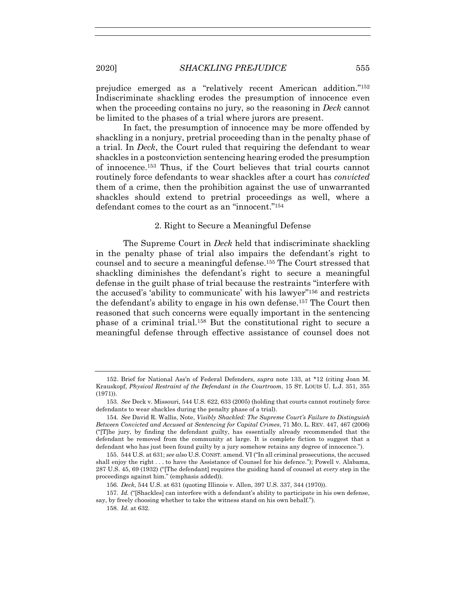prejudice emerged as a "relatively recent American addition."152 Indiscriminate shackling erodes the presumption of innocence even when the proceeding contains no jury, so the reasoning in *Deck* cannot be limited to the phases of a trial where jurors are present.

In fact, the presumption of innocence may be more offended by shackling in a nonjury, pretrial proceeding than in the penalty phase of a trial. In *Deck*, the Court ruled that requiring the defendant to wear shackles in a postconviction sentencing hearing eroded the presumption of innocence.153 Thus, if the Court believes that trial courts cannot routinely force defendants to wear shackles after a court has *convicted*  them of a crime, then the prohibition against the use of unwarranted shackles should extend to pretrial proceedings as well, where a defendant comes to the court as an "innocent."154

#### 2. Right to Secure a Meaningful Defense

The Supreme Court in *Deck* held that indiscriminate shackling in the penalty phase of trial also impairs the defendant's right to counsel and to secure a meaningful defense.155 The Court stressed that shackling diminishes the defendant's right to secure a meaningful defense in the guilt phase of trial because the restraints "interfere with the accused's 'ability to communicate' with his lawyer"156 and restricts the defendant's ability to engage in his own defense.157 The Court then reasoned that such concerns were equally important in the sentencing phase of a criminal trial.158 But the constitutional right to secure a meaningful defense through effective assistance of counsel does not

 <sup>152.</sup> Brief for National Ass'n of Federal Defenders, *supra* note 133, at \*12 (citing Joan M. Krauskopf, *Physical Restraint of the Defendant in the Courtroom*, 15 ST. LOUIS U. L.J. 351, 355 (1971)).

<sup>153</sup>*. See* Deck v. Missouri, 544 U.S. 622, 633 (2005) (holding that courts cannot routinely force defendants to wear shackles during the penalty phase of a trial).

<sup>154</sup>*. See* David R. Wallis, Note, *Visibly Shackled: The Supreme Court's Failure to Distinguish Between Convicted and Accused at Sentencing for Capital Crimes*, 71 MO. L. REV. 447, 467 (2006) ("[T]he jury, by finding the defendant guilty, has essentially already recommended that the defendant be removed from the community at large. It is complete fiction to suggest that a defendant who has just been found guilty by a jury somehow retains any degree of innocence.").

 <sup>155. 544</sup> U.S. at 631; *see also* U.S. CONST. amend. VI ("In all criminal prosecutions, the accused shall enjoy the right . . . to have the Assistance of Counsel for his defence."); Powell v. Alabama, 287 U.S. 45, 69 (1932) ("[The defendant] requires the guiding hand of counsel at *every* step in the proceedings against him." (emphasis added)).

<sup>156</sup>*. Deck*, 544 U.S. at 631 (quoting Illinois v. Allen, 397 U.S. 337, 344 (1970)).

<sup>157</sup>*. Id.* ("[Shackles] can interfere with a defendant's ability to participate in his own defense, say, by freely choosing whether to take the witness stand on his own behalf.").

<sup>158</sup>*. Id.* at 632.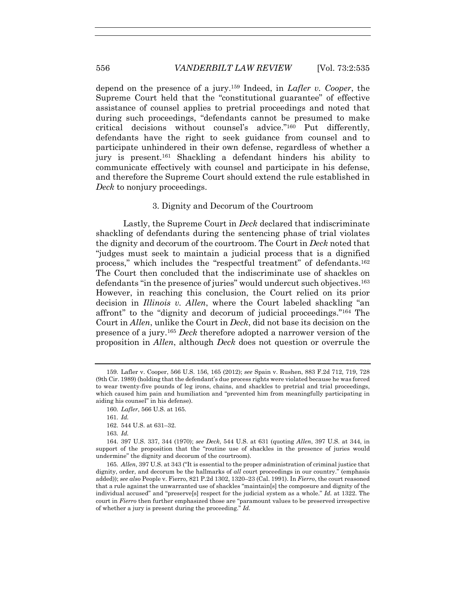depend on the presence of a jury.159 Indeed, in *Lafler v. Cooper*, the Supreme Court held that the "constitutional guarantee" of effective assistance of counsel applies to pretrial proceedings and noted that during such proceedings, "defendants cannot be presumed to make critical decisions without counsel's advice."160 Put differently, defendants have the right to seek guidance from counsel and to participate unhindered in their own defense, regardless of whether a jury is present.161 Shackling a defendant hinders his ability to communicate effectively with counsel and participate in his defense, and therefore the Supreme Court should extend the rule established in *Deck* to nonjury proceedings.

#### 3. Dignity and Decorum of the Courtroom

Lastly, the Supreme Court in *Deck* declared that indiscriminate shackling of defendants during the sentencing phase of trial violates the dignity and decorum of the courtroom. The Court in *Deck* noted that "judges must seek to maintain a judicial process that is a dignified process," which includes the "respectful treatment" of defendants.162 The Court then concluded that the indiscriminate use of shackles on defendants "in the presence of juries" would undercut such objectives.163 However, in reaching this conclusion, the Court relied on its prior decision in *Illinois v. Allen*, where the Court labeled shackling "an affront" to the "dignity and decorum of judicial proceedings."164 The Court in *Allen*, unlike the Court in *Deck*, did not base its decision on the presence of a jury.165 *Deck* therefore adopted a narrower version of the proposition in *Allen*, although *Deck* does not question or overrule the

160*. Lafler*, 566 U.S. at 165.

<sup>159</sup>*.* Lafler v. Cooper, 566 U.S. 156, 165 (2012); *see* Spain v. Rushen, 883 F.2d 712, 719, 728 (9th Cir. 1989) (holding that the defendant's due process rights were violated because he was forced to wear twenty-five pounds of leg irons, chains, and shackles to pretrial and trial proceedings, which caused him pain and humiliation and "prevented him from meaningfully participating in aiding his counsel" in his defense).

<sup>161</sup>*. Id.*

 <sup>162. 544</sup> U.S. at 631–32.

<sup>163</sup>*. Id.*

 <sup>164. 397</sup> U.S. 337, 344 (1970); *see Deck*, 544 U.S. at 631 (quoting *Allen*, 397 U.S. at 344, in support of the proposition that the "routine use of shackles in the presence of juries would undermine" the dignity and decorum of the courtroom).

<sup>165</sup>*. Allen*, 397 U.S. at 343 ("It is essential to the proper administration of criminal justice that dignity, order, and decorum be the hallmarks of *all* court proceedings in our country." (emphasis added)); *see also* People v. Fierro, 821 P.2d 1302, 1320–23 (Cal. 1991). In *Fierro*, the court reasoned that a rule against the unwarranted use of shackles "maintain[s] the composure and dignity of the individual accused" and "preserve[s] respect for the judicial system as a whole." *Id.* at 1322. The court in *Fierro* then further emphasized those are "paramount values to be preserved irrespective of whether a jury is present during the proceeding." *Id.*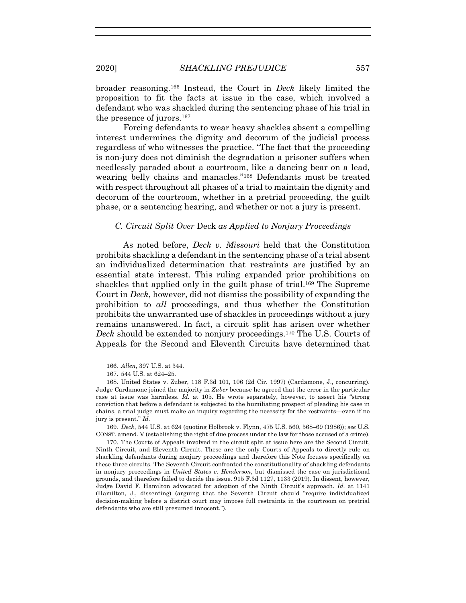broader reasoning.166 Instead, the Court in *Deck* likely limited the proposition to fit the facts at issue in the case, which involved a defendant who was shackled during the sentencing phase of his trial in the presence of jurors.167

Forcing defendants to wear heavy shackles absent a compelling interest undermines the dignity and decorum of the judicial process regardless of who witnesses the practice. "The fact that the proceeding is non-jury does not diminish the degradation a prisoner suffers when needlessly paraded about a courtroom, like a dancing bear on a lead, wearing belly chains and manacles."168 Defendants must be treated with respect throughout all phases of a trial to maintain the dignity and decorum of the courtroom, whether in a pretrial proceeding, the guilt phase, or a sentencing hearing, and whether or not a jury is present.

## *C. Circuit Split Over* Deck *as Applied to Nonjury Proceedings*

As noted before, *Deck v. Missouri* held that the Constitution prohibits shackling a defendant in the sentencing phase of a trial absent an individualized determination that restraints are justified by an essential state interest. This ruling expanded prior prohibitions on shackles that applied only in the guilt phase of trial.<sup>169</sup> The Supreme Court in *Deck*, however, did not dismiss the possibility of expanding the prohibition to *all* proceedings, and thus whether the Constitution prohibits the unwarranted use of shackles in proceedings without a jury remains unanswered. In fact, a circuit split has arisen over whether *Deck* should be extended to nonjury proceedings.170 The U.S. Courts of Appeals for the Second and Eleventh Circuits have determined that

169*. Deck*, 544 U.S. at 624 (quoting Holbrook v. Flynn, 475 U.S. 560, 568–69 (1986)); *see* U.S. CONST. amend. V (establishing the right of due process under the law for those accused of a crime).

<sup>166</sup>*. Allen*, 397 U.S. at 344.

 <sup>167. 544</sup> U.S. at 624–25.

 <sup>168.</sup> United States v. Zuber, 118 F.3d 101, 106 (2d Cir. 1997) (Cardamone, J., concurring). Judge Cardamone joined the majority in *Zuber* because he agreed that the error in the particular case at issue was harmless. *Id.* at 105. He wrote separately, however, to assert his "strong conviction that before a defendant is subjected to the humiliating prospect of pleading his case in chains, a trial judge must make an inquiry regarding the necessity for the restraints—even if no jury is present." *Id.* 

 <sup>170.</sup> The Courts of Appeals involved in the circuit split at issue here are the Second Circuit, Ninth Circuit, and Eleventh Circuit. These are the only Courts of Appeals to directly rule on shackling defendants during nonjury proceedings and therefore this Note focuses specifically on these three circuits. The Seventh Circuit confronted the constitutionality of shackling defendants in nonjury proceedings in *United States v. Henderson*, but dismissed the case on jurisdictional grounds, and therefore failed to decide the issue. 915 F.3d 1127, 1133 (2019). In dissent, however, Judge David F. Hamilton advocated for adoption of the Ninth Circuit's approach. *Id.* at 1141 (Hamilton, J., dissenting) (arguing that the Seventh Circuit should "require individualized decision-making before a district court may impose full restraints in the courtroom on pretrial defendants who are still presumed innocent.").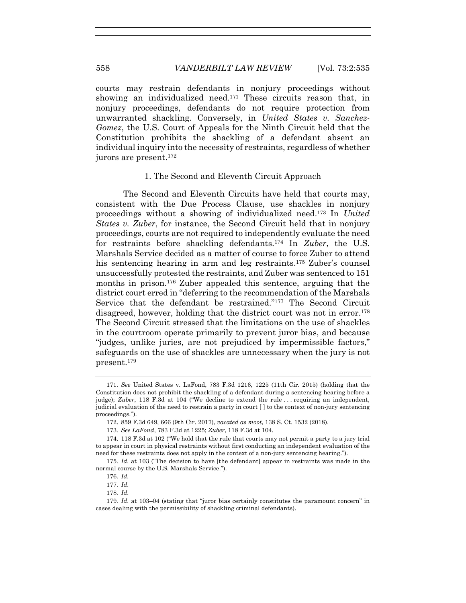courts may restrain defendants in nonjury proceedings without showing an individualized need.<sup>171</sup> These circuits reason that, in nonjury proceedings, defendants do not require protection from unwarranted shackling. Conversely, in *United States v. Sanchez-Gomez*, the U.S. Court of Appeals for the Ninth Circuit held that the Constitution prohibits the shackling of a defendant absent an individual inquiry into the necessity of restraints, regardless of whether jurors are present.172

#### 1. The Second and Eleventh Circuit Approach

The Second and Eleventh Circuits have held that courts may, consistent with the Due Process Clause, use shackles in nonjury proceedings without a showing of individualized need.173 In *United States v. Zuber*, for instance, the Second Circuit held that in nonjury proceedings, courts are not required to independently evaluate the need for restraints before shackling defendants.174 In *Zuber*, the U.S. Marshals Service decided as a matter of course to force Zuber to attend his sentencing hearing in arm and leg restraints.175 Zuber's counsel unsuccessfully protested the restraints, and Zuber was sentenced to 151 months in prison.176 Zuber appealed this sentence, arguing that the district court erred in "deferring to the recommendation of the Marshals Service that the defendant be restrained."177 The Second Circuit disagreed, however, holding that the district court was not in error.178 The Second Circuit stressed that the limitations on the use of shackles in the courtroom operate primarily to prevent juror bias, and because "judges, unlike juries, are not prejudiced by impermissible factors," safeguards on the use of shackles are unnecessary when the jury is not present.179

178*. Id.*

<sup>171</sup>*. See* United States v. LaFond, 783 F.3d 1216, 1225 (11th Cir. 2015) (holding that the Constitution does not prohibit the shackling of a defendant during a sentencing hearing before a judge); *Zuber*, 118 F.3d at 104 ("We decline to extend the rule . . . requiring an independent, judicial evaluation of the need to restrain a party in court [ ] to the context of non-jury sentencing proceedings.").

 <sup>172. 859</sup> F.3d 649, 666 (9th Cir. 2017), *vacated as moot*, 138 S. Ct. 1532 (2018).

<sup>173</sup>*. See LaFond*, 783 F.3d at 1225; *Zuber*, 118 F.3d at 104.

 <sup>174. 118</sup> F.3d at 102 ("We hold that the rule that courts may not permit a party to a jury trial to appear in court in physical restraints without first conducting an independent evaluation of the need for these restraints does not apply in the context of a non-jury sentencing hearing.").

<sup>175</sup>*. Id.* at 103 ("The decision to have [the defendant] appear in restraints was made in the normal course by the U.S. Marshals Service.").

<sup>176</sup>*. Id.* 

<sup>177</sup>*. Id.*

<sup>179</sup>*. Id.* at 103–04 (stating that "juror bias certainly constitutes the paramount concern" in cases dealing with the permissibility of shackling criminal defendants).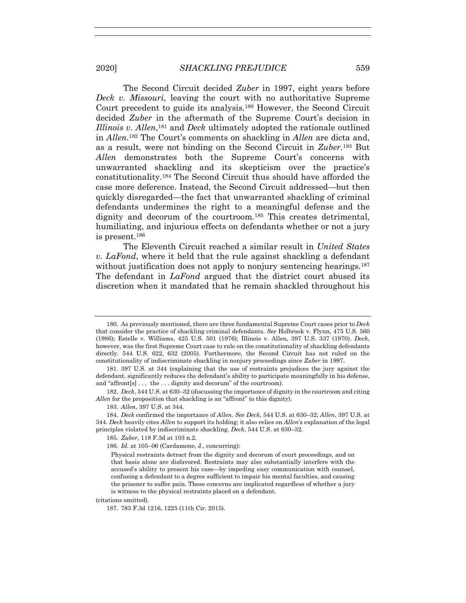The Second Circuit decided *Zuber* in 1997, eight years before *Deck v. Missouri*, leaving the court with no authoritative Supreme Court precedent to guide its analysis.180 However, the Second Circuit decided *Zuber* in the aftermath of the Supreme Court's decision in *Illinois v. Allen*,181 and *Deck* ultimately adopted the rationale outlined in *Allen*.182 The Court's comments on shackling in *Allen* are dicta and, as a result, were not binding on the Second Circuit in *Zuber*.183 But *Allen* demonstrates both the Supreme Court's concerns with unwarranted shackling and its skepticism over the practice's constitutionality.184 The Second Circuit thus should have afforded the case more deference. Instead, the Second Circuit addressed—but then quickly disregarded—the fact that unwarranted shackling of criminal defendants undermines the right to a meaningful defense and the dignity and decorum of the courtroom.185 This creates detrimental, humiliating, and injurious effects on defendants whether or not a jury is present.186

The Eleventh Circuit reached a similar result in *United States v. LaFond*, where it held that the rule against shackling a defendant without justification does not apply to nonjury sentencing hearings.<sup>187</sup> The defendant in *LaFond* argued that the district court abused its discretion when it mandated that he remain shackled throughout his

(citations omitted).

187. 783 F.3d 1216, 1225 (11th Cir. 2015).

 <sup>180.</sup> As previously mentioned, there are three fundamental Supreme Court cases prior to *Deck*  that consider the practice of shackling criminal defendants. *See* Holbrook v. Flynn, 475 U.S. 560 (1986); Estelle v. Williams, 425 U.S. 501 (1976); Illinois v. Allen, 397 U.S. 337 (1970). *Deck*, however, was the first Supreme Court case to rule on the constitutionality of shackling defendants directly. 544 U.S. 622, 632 (2005). Furthermore, the Second Circuit has not ruled on the constitutionality of indiscriminate shackling in nonjury proceedings since *Zuber* in 1997.

 <sup>181. 397</sup> U.S. at 344 (explaining that the use of restraints prejudices the jury against the defendant, significantly reduces the defendant's ability to participate meaningfully in his defense, and "affront[s]...the...dignity and decorum" of the courtroom).

 <sup>182.</sup> *Deck*, 544 U.S. at 630–32 (discussing the importance of dignity in the courtroom and citing *Allen* for the proposition that shackling is an "affront" to this dignity).

<sup>183</sup>*. Allen*, 397 U.S. at 344.

 <sup>184.</sup> *Deck* confirmed the importance of *Allen*. *See Deck*, 544 U.S. at 630–32; *Allen*, 397 U.S. at 344. *Deck* heavily cites *Allen* to support its holding; it also relies on *Allen*'s explanation of the legal principles violated by indiscriminate shackling. *Deck*, 544 U.S. at 630–32.

<sup>185</sup>*. Zuber*, 118 F.3d at 103 n.2.

<sup>186</sup>*. Id*. at 105–06 (Cardamone, J., concurring):

Physical restraints detract from the dignity and decorum of court proceedings, and on that basis alone are disfavored. Restraints may also substantially interfere with the accused's ability to present his case—by impeding easy communication with counsel, confusing a defendant to a degree sufficient to impair his mental faculties, and causing the prisoner to suffer pain. These concerns are implicated regardless of whether a jury is witness to the physical restraints placed on a defendant.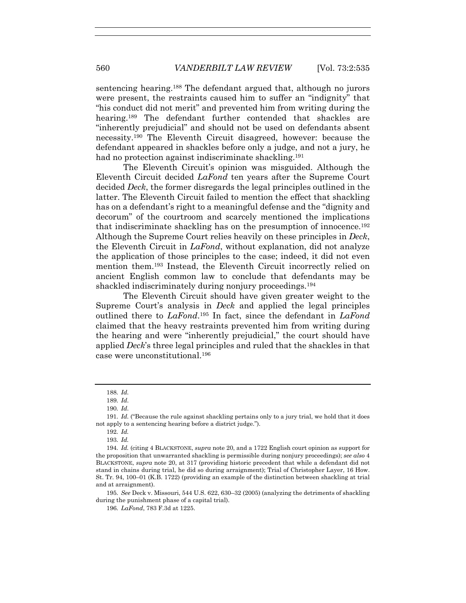sentencing hearing.188 The defendant argued that, although no jurors were present, the restraints caused him to suffer an "indignity" that "his conduct did not merit" and prevented him from writing during the hearing.<sup>189</sup> The defendant further contended that shackles are "inherently prejudicial" and should not be used on defendants absent necessity.190 The Eleventh Circuit disagreed, however: because the defendant appeared in shackles before only a judge, and not a jury, he had no protection against indiscriminate shackling.<sup>191</sup>

The Eleventh Circuit's opinion was misguided. Although the Eleventh Circuit decided *LaFond* ten years after the Supreme Court decided *Deck*, the former disregards the legal principles outlined in the latter. The Eleventh Circuit failed to mention the effect that shackling has on a defendant's right to a meaningful defense and the "dignity and decorum" of the courtroom and scarcely mentioned the implications that indiscriminate shackling has on the presumption of innocence.192 Although the Supreme Court relies heavily on these principles in *Deck*, the Eleventh Circuit in *LaFond*, without explanation, did not analyze the application of those principles to the case; indeed, it did not even mention them.193 Instead, the Eleventh Circuit incorrectly relied on ancient English common law to conclude that defendants may be shackled indiscriminately during nonjury proceedings.<sup>194</sup>

The Eleventh Circuit should have given greater weight to the Supreme Court's analysis in *Deck* and applied the legal principles outlined there to *LaFond*.195 In fact, since the defendant in *LaFond* claimed that the heavy restraints prevented him from writing during the hearing and were "inherently prejudicial," the court should have applied *Deck*'s three legal principles and ruled that the shackles in that case were unconstitutional.196

<sup>188</sup>*. Id.* 

<sup>189</sup>*. Id*.

<sup>190</sup>*. Id*.

<sup>191</sup>*. Id.* ("Because the rule against shackling pertains only to a jury trial, we hold that it does not apply to a sentencing hearing before a district judge.").

<sup>192</sup>*. Id.*

<sup>193</sup>*. Id.*

<sup>194</sup>*. Id.* (citing 4 BLACKSTONE, *supra* note 20, and a 1722 English court opinion as support for the proposition that unwarranted shackling is permissible during nonjury proceedings); *see also* 4 BLACKSTONE, *supra* note 20, at 317 (providing historic precedent that while a defendant did not stand in chains during trial, he did so during arraignment); Trial of Christopher Layer, 16 How. St. Tr. 94, 100–01 (K.B. 1722) (providing an example of the distinction between shackling at trial and at arraignment).

<sup>195</sup>*. See* Deck v. Missouri, 544 U.S. 622, 630–32 (2005) (analyzing the detriments of shackling during the punishment phase of a capital trial).

<sup>196</sup>*. LaFond*, 783 F.3d at 1225.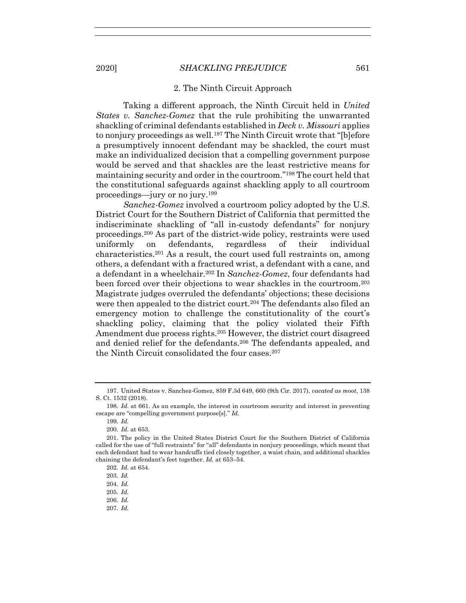#### 2. The Ninth Circuit Approach

Taking a different approach, the Ninth Circuit held in *United States v. Sanchez-Gomez* that the rule prohibiting the unwarranted shackling of criminal defendants established in *Deck v. Missouri* applies to nonjury proceedings as well.<sup>197</sup> The Ninth Circuit wrote that "[b]efore a presumptively innocent defendant may be shackled, the court must make an individualized decision that a compelling government purpose would be served and that shackles are the least restrictive means for maintaining security and order in the courtroom."198 The court held that the constitutional safeguards against shackling apply to all courtroom proceedings—jury or no jury.199

*Sanchez-Gomez* involved a courtroom policy adopted by the U.S. District Court for the Southern District of California that permitted the indiscriminate shackling of "all in-custody defendants" for nonjury proceedings.200 As part of the district-wide policy, restraints were used uniformly on defendants, regardless of their individual characteristics.201 As a result, the court used full restraints on, among others, a defendant with a fractured wrist, a defendant with a cane, and a defendant in a wheelchair.202 In *Sanchez-Gomez*, four defendants had been forced over their objections to wear shackles in the courtroom.203 Magistrate judges overruled the defendants' objections; these decisions were then appealed to the district court.<sup>204</sup> The defendants also filed an emergency motion to challenge the constitutionality of the court's shackling policy, claiming that the policy violated their Fifth Amendment due process rights.205 However, the district court disagreed and denied relief for the defendants.206 The defendants appealed, and the Ninth Circuit consolidated the four cases.<sup>207</sup>

- 204*. Id.*
- 205*. Id.*
- 206*. Id.*
- 207*. Id.*

 <sup>197.</sup> United States v. Sanchez-Gomez, 859 F.3d 649, 660 (9th Cir. 2017), *vacated as moot*, 138 S. Ct. 1532 (2018).

<sup>198</sup>*. Id.* at 661. As an example, the interest in courtroom security and interest in preventing escape are "compelling government purpose[s]." *Id.*

<sup>199</sup>*. Id.*

<sup>200</sup>*. Id.* at 653.

 <sup>201.</sup> The policy in the United States District Court for the Southern District of California called for the use of "full restraints" for "all" defendants in nonjury proceedings, which meant that each defendant had to wear handcuffs tied closely together, a waist chain, and additional shackles chaining the defendant's feet together. *Id.* at 653–54.

<sup>202</sup>*. Id.* at 654.

<sup>203</sup>*. Id.*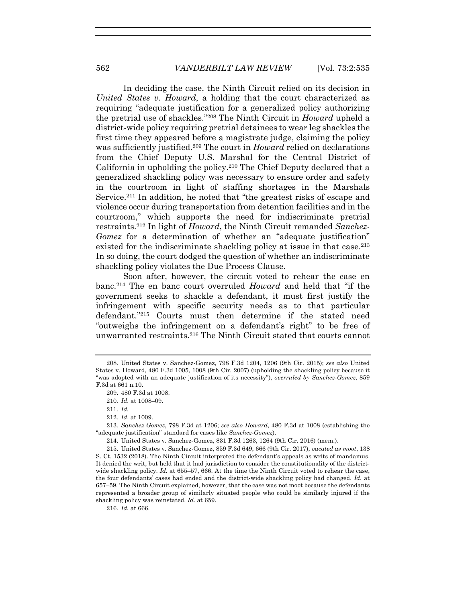In deciding the case, the Ninth Circuit relied on its decision in *United States v. Howard*, a holding that the court characterized as requiring "adequate justification for a generalized policy authorizing the pretrial use of shackles."208 The Ninth Circuit in *Howard* upheld a district-wide policy requiring pretrial detainees to wear leg shackles the first time they appeared before a magistrate judge, claiming the policy was sufficiently justified.209 The court in *Howard* relied on declarations from the Chief Deputy U.S. Marshal for the Central District of California in upholding the policy.210 The Chief Deputy declared that a generalized shackling policy was necessary to ensure order and safety in the courtroom in light of staffing shortages in the Marshals Service.211 In addition, he noted that "the greatest risks of escape and violence occur during transportation from detention facilities and in the courtroom," which supports the need for indiscriminate pretrial restraints.212 In light of *Howard*, the Ninth Circuit remanded *Sanchez-Gomez* for a determination of whether an "adequate justification" existed for the indiscriminate shackling policy at issue in that case.<sup>213</sup> In so doing, the court dodged the question of whether an indiscriminate shackling policy violates the Due Process Clause.

Soon after, however, the circuit voted to rehear the case en banc.214 The en banc court overruled *Howard* and held that "if the government seeks to shackle a defendant, it must first justify the infringement with specific security needs as to that particular defendant."215 Courts must then determine if the stated need "outweighs the infringement on a defendant's right" to be free of unwarranted restraints.216 The Ninth Circuit stated that courts cannot

214. United States v. Sanchez-Gomez, 831 F.3d 1263, 1264 (9th Cir. 2016) (mem.).

 215. United States v. Sanchez-Gomez, 859 F.3d 649, 666 (9th Cir. 2017), *vacated as moot*, 138 S. Ct. 1532 (2018). The Ninth Circuit interpreted the defendant's appeals as writs of mandamus. It denied the writ, but held that it had jurisdiction to consider the constitutionality of the districtwide shackling policy. *Id.* at 655–57, 666. At the time the Ninth Circuit voted to rehear the case, the four defendants' cases had ended and the district-wide shackling policy had changed. *Id.* at 657–59. The Ninth Circuit explained, however, that the case was not moot because the defendants represented a broader group of similarly situated people who could be similarly injured if the shackling policy was reinstated. *Id.* at 659.

216*. Id.* at 666.

 <sup>208.</sup> United States v. Sanchez-Gomez, 798 F.3d 1204, 1206 (9th Cir. 2015); *see also* United States v. Howard, 480 F.3d 1005, 1008 (9th Cir. 2007) (upholding the shackling policy because it "was adopted with an adequate justification of its necessity"), *overruled by Sanchez-Gomez*, 859 F.3d at 661 n.10.

 <sup>209. 480</sup> F.3d at 1008.

<sup>210</sup>*. Id.* at 1008–09.

<sup>211</sup>*. Id.*

<sup>212</sup>*. Id*. at 1009.

<sup>213</sup>*. Sanchez-Gomez*, 798 F.3d at 1206; *see also Howard*, 480 F.3d at 1008 (establishing the "adequate justification" standard for cases like *Sanchez-Gomez*).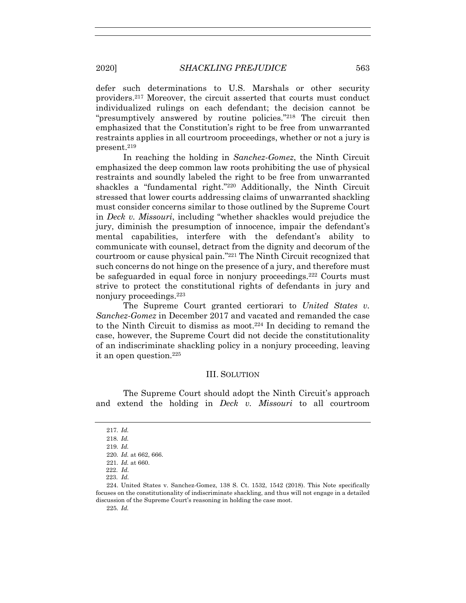defer such determinations to U.S. Marshals or other security providers.217 Moreover, the circuit asserted that courts must conduct individualized rulings on each defendant; the decision cannot be "presumptively answered by routine policies."218 The circuit then emphasized that the Constitution's right to be free from unwarranted restraints applies in all courtroom proceedings, whether or not a jury is present.219

In reaching the holding in *Sanchez-Gomez*, the Ninth Circuit emphasized the deep common law roots prohibiting the use of physical restraints and soundly labeled the right to be free from unwarranted shackles a "fundamental right."220 Additionally, the Ninth Circuit stressed that lower courts addressing claims of unwarranted shackling must consider concerns similar to those outlined by the Supreme Court in *Deck v. Missouri*, including "whether shackles would prejudice the jury, diminish the presumption of innocence, impair the defendant's mental capabilities, interfere with the defendant's ability to communicate with counsel, detract from the dignity and decorum of the courtroom or cause physical pain."221 The Ninth Circuit recognized that such concerns do not hinge on the presence of a jury, and therefore must be safeguarded in equal force in nonjury proceedings.<sup>222</sup> Courts must strive to protect the constitutional rights of defendants in jury and nonjury proceedings.223

The Supreme Court granted certiorari to *United States v. Sanchez-Gomez* in December 2017 and vacated and remanded the case to the Ninth Circuit to dismiss as moot.224 In deciding to remand the case, however, the Supreme Court did not decide the constitutionality of an indiscriminate shackling policy in a nonjury proceeding, leaving it an open question.225

## III. SOLUTION

The Supreme Court should adopt the Ninth Circuit's approach and extend the holding in *Deck v. Missouri* to all courtroom

225*. Id.*

<sup>217</sup>*. Id.*

<sup>218</sup>*. Id.*

<sup>219</sup>*. Id.*

<sup>220</sup>*. Id.* at 662, 666.

<sup>221</sup>*. Id.* at 660.

 <sup>222.</sup> *Id.* 

 <sup>223.</sup> *Id.*

 <sup>224.</sup> United States v. Sanchez-Gomez, 138 S. Ct. 1532, 1542 (2018). This Note specifically focuses on the constitutionality of indiscriminate shackling, and thus will not engage in a detailed discussion of the Supreme Court's reasoning in holding the case moot.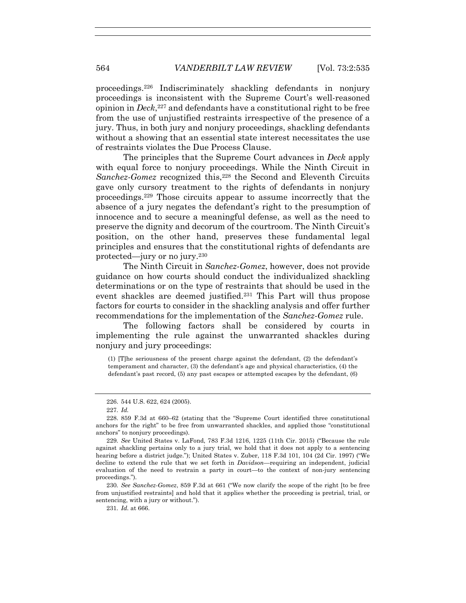proceedings.226 Indiscriminately shackling defendants in nonjury proceedings is inconsistent with the Supreme Court's well-reasoned opinion in *Deck*,227 and defendants have a constitutional right to be free from the use of unjustified restraints irrespective of the presence of a jury. Thus, in both jury and nonjury proceedings, shackling defendants without a showing that an essential state interest necessitates the use of restraints violates the Due Process Clause.

The principles that the Supreme Court advances in *Deck* apply with equal force to nonjury proceedings. While the Ninth Circuit in *Sanchez-Gomez* recognized this,<sup>228</sup> the Second and Eleventh Circuits gave only cursory treatment to the rights of defendants in nonjury proceedings.229 Those circuits appear to assume incorrectly that the absence of a jury negates the defendant's right to the presumption of innocence and to secure a meaningful defense, as well as the need to preserve the dignity and decorum of the courtroom. The Ninth Circuit's position, on the other hand, preserves these fundamental legal principles and ensures that the constitutional rights of defendants are protected—jury or no jury.230

The Ninth Circuit in *Sanchez-Gomez*, however, does not provide guidance on how courts should conduct the individualized shackling determinations or on the type of restraints that should be used in the event shackles are deemed justified.231 This Part will thus propose factors for courts to consider in the shackling analysis and offer further recommendations for the implementation of the *Sanchez-Gomez* rule.

The following factors shall be considered by courts in implementing the rule against the unwarranted shackles during nonjury and jury proceedings:

(1) [T]he seriousness of the present charge against the defendant, (2) the defendant's temperament and character, (3) the defendant's age and physical characteristics, (4) the defendant's past record, (5) any past escapes or attempted escapes by the defendant, (6)

 <sup>226. 544</sup> U.S. 622, 624 (2005).

<sup>227</sup>*. Id.*

 <sup>228. 859</sup> F.3d at 660–62 (stating that the "Supreme Court identified three constitutional anchors for the right" to be free from unwarranted shackles, and applied those "constitutional anchors" to nonjury proceedings).

<sup>229</sup>*. See* United States v. LaFond, 783 F.3d 1216, 1225 (11th Cir. 2015) ("Because the rule against shackling pertains only to a jury trial, we hold that it does not apply to a sentencing hearing before a district judge."); United States v. Zuber, 118 F.3d 101, 104 (2d Cir. 1997) ("We decline to extend the rule that we set forth in *Davidson*—requiring an independent, judicial evaluation of the need to restrain a party in court—to the context of non-jury sentencing proceedings.").

<sup>230</sup>*. See Sanchez-Gomez*, 859 F.3d at 661 ("We now clarify the scope of the right [to be free from unjustified restraints] and hold that it applies whether the proceeding is pretrial, trial, or sentencing, with a jury or without.").

<sup>231</sup>*. Id.* at 666.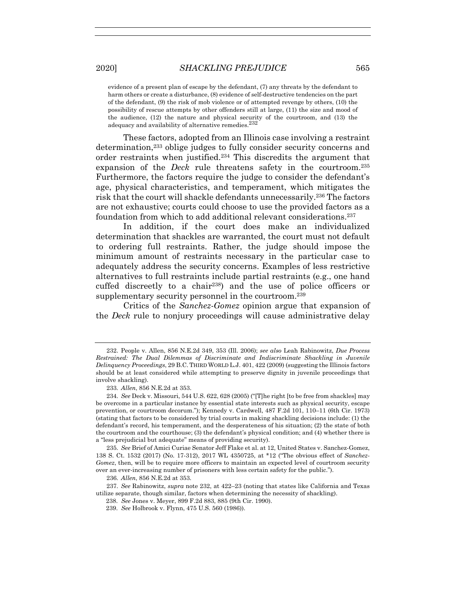evidence of a present plan of escape by the defendant, (7) any threats by the defendant to harm others or create a disturbance, (8) evidence of self-destructive tendencies on the part of the defendant, (9) the risk of mob violence or of attempted revenge by others, (10) the possibility of rescue attempts by other offenders still at large, (11) the size and mood of the audience, (12) the nature and physical security of the courtroom, and (13) the adequacy and availability of alternative remedies.<sup>232</sup>

These factors, adopted from an Illinois case involving a restraint determination,233 oblige judges to fully consider security concerns and order restraints when justified.234 This discredits the argument that expansion of the *Deck* rule threatens safety in the courtroom.235 Furthermore, the factors require the judge to consider the defendant's age, physical characteristics, and temperament, which mitigates the risk that the court will shackle defendants unnecessarily.236 The factors are not exhaustive; courts could choose to use the provided factors as a foundation from which to add additional relevant considerations.237

In addition, if the court does make an individualized determination that shackles are warranted, the court must not default to ordering full restraints. Rather, the judge should impose the minimum amount of restraints necessary in the particular case to adequately address the security concerns. Examples of less restrictive alternatives to full restraints include partial restraints (e.g., one hand cuffed discreetly to a chair238) and the use of police officers or supplementary security personnel in the courtroom.239

Critics of the *Sanchez-Gomez* opinion argue that expansion of the *Deck* rule to nonjury proceedings will cause administrative delay

 <sup>232.</sup> People v. Allen, 856 N.E.2d 349, 353 (Ill. 2006); *see also* Leah Rabinowitz, *Due Process Restrained: The Dual Dilemmas of Discriminate and Indiscriminate Shackling in Juvenile Delinquency Proceedings*, 29 B.C. THIRD WORLD L.J. 401, 422 (2009) (suggesting the Illinois factors should be at least considered while attempting to preserve dignity in juvenile proceedings that involve shackling).

<sup>233</sup>*. Allen*, 856 N.E.2d at 353.

<sup>234</sup>*. See* Deck v. Missouri, 544 U.S. 622, 628 (2005) ("[T]he right [to be free from shackles] may be overcome in a particular instance by essential state interests such as physical security, escape prevention, or courtroom decorum."); Kennedy v. Cardwell, 487 F.2d 101, 110–11 (6th Cir. 1973) (stating that factors to be considered by trial courts in making shackling decisions include: (1) the defendant's record, his temperament, and the desperateness of his situation; (2) the state of both the courtroom and the courthouse; (3) the defendant's physical condition; and (4) whether there is a "less prejudicial but adequate" means of providing security).

<sup>235</sup>*. See* Brief of Amici Curiae Senator Jeff Flake et al. at 12, United States v. Sanchez-Gomez, 138 S. Ct. 1532 (2017) (No. 17-312), 2017 WL 4350725, at \*12 ("The obvious effect of *Sanchez-Gomez*, then, will be to require more officers to maintain an expected level of courtroom security over an ever-increasing number of prisoners with less certain safety for the public.").

<sup>236</sup>*. Allen*, 856 N.E.2d at 353.

<sup>237</sup>*. See* Rabinowitz, *supra* note 232, at 422–23 (noting that states like California and Texas utilize separate, though similar, factors when determining the necessity of shackling).

 <sup>238.</sup> *See* Jones v. Meyer, 899 F.2d 883, 885 (9th Cir. 1990).

 <sup>239.</sup> *See* Holbrook v. Flynn, 475 U.S. 560 (1986)).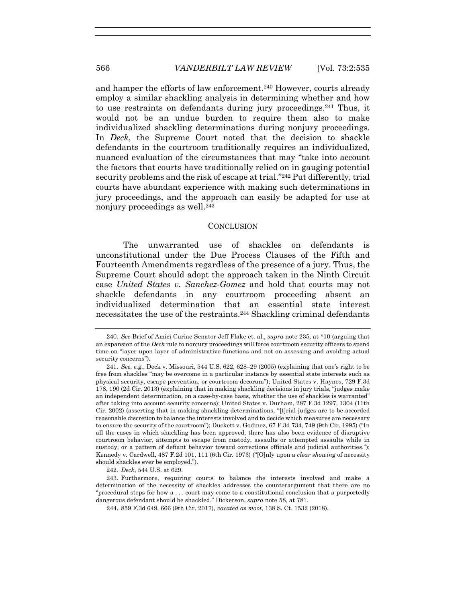and hamper the efforts of law enforcement.240 However, courts already employ a similar shackling analysis in determining whether and how to use restraints on defendants during jury proceedings.241 Thus, it would not be an undue burden to require them also to make individualized shackling determinations during nonjury proceedings. In *Deck*, the Supreme Court noted that the decision to shackle defendants in the courtroom traditionally requires an individualized, nuanced evaluation of the circumstances that may "take into account the factors that courts have traditionally relied on in gauging potential security problems and the risk of escape at trial."242 Put differently, trial courts have abundant experience with making such determinations in jury proceedings, and the approach can easily be adapted for use at nonjury proceedings as well.<sup>243</sup>

#### **CONCLUSION**

The unwarranted use of shackles on defendants is unconstitutional under the Due Process Clauses of the Fifth and Fourteenth Amendments regardless of the presence of a jury. Thus, the Supreme Court should adopt the approach taken in the Ninth Circuit case *United States v. Sanchez-Gomez* and hold that courts may not shackle defendants in any courtroom proceeding absent an individualized determination that an essential state interest necessitates the use of the restraints.244 Shackling criminal defendants

242*. Deck*, 544 U.S. at 629.

244. 859 F.3d 649, 666 (9th Cir. 2017), *vacated as moot*, 138 S. Ct. 1532 (2018).

<sup>240</sup>*. See* Brief of Amici Curiae Senator Jeff Flake et. al., *supra* note 235, at \*10 (arguing that an expansion of the *Deck* rule to nonjury proceedings will force courtroom security officers to spend time on "layer upon layer of administrative functions and not on assessing and avoiding actual security concerns").

<sup>241</sup>*. See, e.g.*, Deck v. Missouri, 544 U.S. 622, 628–29 (2005) (explaining that one's right to be free from shackles "may be overcome in a particular instance by essential state interests such as physical security, escape prevention, or courtroom decorum"); United States v. Haynes, 729 F.3d 178, 190 (2d Cir. 2013) (explaining that in making shackling decisions in jury trials, "judges make an independent determination, on a case-by-case basis, whether the use of shackles is warranted" after taking into account security concerns); United States v. Durham, 287 F.3d 1297, 1304 (11th Cir. 2002) (asserting that in making shackling determinations, "[t]rial judges are to be accorded reasonable discretion to balance the interests involved and to decide which measures are necessary to ensure the security of the courtroom"); Duckett v. Godinez, 67 F.3d 734, 749 (9th Cir. 1995) ("In all the cases in which shackling has been approved, there has also been evidence of disruptive courtroom behavior, attempts to escape from custody, assaults or attempted assaults while in custody, or a pattern of defiant behavior toward corrections officials and judicial authorities."); Kennedy v. Cardwell, 487 F.2d 101, 111 (6th Cir. 1973) ("[O]nly upon a *clear showing* of necessity should shackles ever be employed.").

 <sup>243.</sup> Furthermore, requiring courts to balance the interests involved and make a determination of the necessity of shackles addresses the counterargument that there are no "procedural steps for how a . . . court may come to a constitutional conclusion that a purportedly dangerous defendant should be shackled." Dickerson, *supra* note 58, at 781.